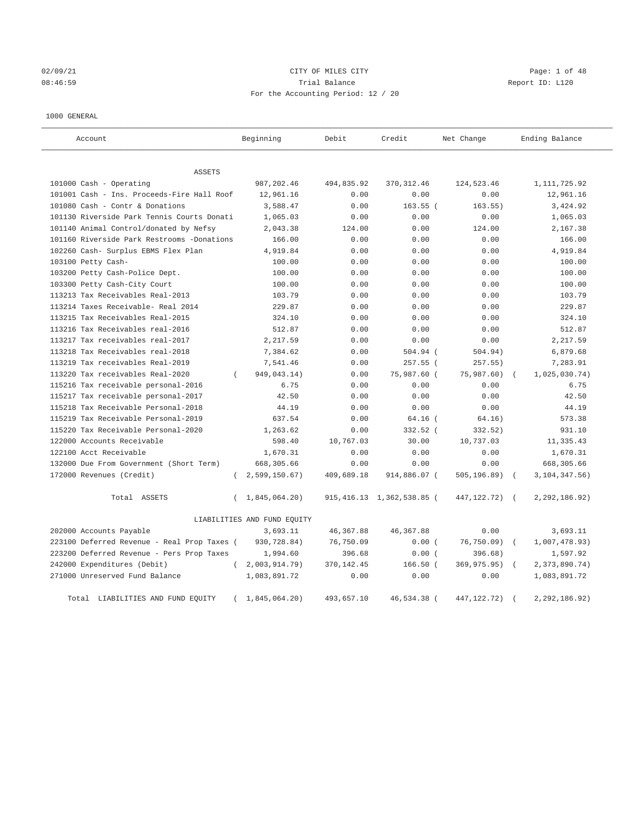## 02/09/21 Page: 1 of 48 08:46:59 Trial Balance Report ID: L120 For the Accounting Period: 12 / 20

## 1000 GENERAL

| Account                                     |          | Beginning                   | Debit       | Credit                       | Net Change     |            | Ending Balance     |
|---------------------------------------------|----------|-----------------------------|-------------|------------------------------|----------------|------------|--------------------|
| <b>ASSETS</b>                               |          |                             |             |                              |                |            |                    |
| 101000 Cash - Operating                     |          | 987, 202.46                 | 494,835.92  | 370, 312.46                  | 124,523.46     |            | 1, 111, 725.92     |
| 101001 Cash - Ins. Proceeds-Fire Hall Roof  |          | 12,961.16                   | 0.00        | 0.00                         | 0.00           |            | 12,961.16          |
| 101080 Cash - Contr & Donations             |          | 3,588.47                    | 0.00        | $163.55$ (                   | 163.55)        |            | 3,424.92           |
| 101130 Riverside Park Tennis Courts Donati  |          | 1,065.03                    | 0.00        | 0.00                         | 0.00           |            | 1,065.03           |
| 101140 Animal Control/donated by Nefsy      |          | 2,043.38                    | 124.00      | 0.00                         | 124.00         |            | 2,167.38           |
| 101160 Riverside Park Restrooms -Donations  |          | 166.00                      | 0.00        | 0.00                         | 0.00           |            | 166.00             |
| 102260 Cash- Surplus EBMS Flex Plan         |          | 4,919.84                    | 0.00        | 0.00                         | 0.00           |            | 4,919.84           |
| 103100 Petty Cash-                          |          | 100.00                      | 0.00        | 0.00                         | 0.00           |            | 100.00             |
| 103200 Petty Cash-Police Dept.              |          | 100.00                      | 0.00        | 0.00                         | 0.00           |            | 100.00             |
| 103300 Petty Cash-City Court                |          | 100.00                      | 0.00        | 0.00                         | 0.00           |            | 100.00             |
| 113213 Tax Receivables Real-2013            |          | 103.79                      | 0.00        | 0.00                         | 0.00           |            | 103.79             |
| 113214 Taxes Receivable- Real 2014          |          | 229.87                      | 0.00        | 0.00                         | 0.00           |            | 229.87             |
| 113215 Tax Receivables Real-2015            |          | 324.10                      | 0.00        | 0.00                         | 0.00           |            | 324.10             |
| 113216 Tax Receivables real-2016            |          | 512.87                      | 0.00        | 0.00                         | 0.00           |            | 512.87             |
| 113217 Tax receivables real-2017            |          | 2,217.59                    | 0.00        | 0.00                         | 0.00           |            | 2,217.59           |
| 113218 Tax Receivables real-2018            |          | 7,384.62                    | 0.00        | 504.94 (                     | 504.94)        |            | 6,879.68           |
| 113219 Tax receivables Real-2019            |          | 7,541.46                    | 0.00        | 257.55 (                     | 257.55)        |            | 7,283.91           |
| 113220 Tax receivables Real-2020            | $\left($ | 949,043.14)                 | 0.00        | 75,987.60 (                  | 75,987.60)     | $\sqrt{2}$ | 1,025,030.74)      |
| 115216 Tax receivable personal-2016         |          | 6.75                        | 0.00        | 0.00                         | 0.00           |            | 6.75               |
| 115217 Tax receivable personal-2017         |          | 42.50                       | 0.00        | 0.00                         | 0.00           |            | 42.50              |
| 115218 Tax Receivable Personal-2018         |          | 44.19                       | 0.00        | 0.00                         | 0.00           |            | 44.19              |
| 115219 Tax Receivable Personal-2019         |          | 637.54                      | 0.00        | $64.16$ (                    | 64.16)         |            | 573.38             |
| 115220 Tax Receivable Personal-2020         |          | 1,263.62                    | 0.00        | 332.52 (                     | 332.52)        |            | 931.10             |
| 122000 Accounts Receivable                  |          | 598.40                      | 10,767.03   | 30.00                        | 10,737.03      |            | 11,335.43          |
| 122100 Acct Receivable                      |          | 1,670.31                    | 0.00        | 0.00                         | 0.00           |            | 1,670.31           |
| 132000 Due From Government (Short Term)     |          | 668,305.66                  | 0.00        | 0.00                         | 0.00           |            | 668,305.66         |
| 172000 Revenues (Credit)                    |          | 2,599,150.67)               | 409,689.18  | 914,886.07 (                 | 505, 196.89)   | $\sqrt{ }$ | $3, 104, 347.56$ ) |
| Total ASSETS                                | $\left($ | 1,845,064.20)               |             | 915, 416.13 1, 362, 538.85 ( | 447, 122. 72)  | $\sqrt{2}$ | 2, 292, 186.92)    |
|                                             |          | LIABILITIES AND FUND EQUITY |             |                              |                |            |                    |
| 202000 Accounts Payable                     |          | 3,693.11                    | 46, 367.88  | 46, 367.88                   | 0.00           |            | 3,693.11           |
| 223100 Deferred Revenue - Real Prop Taxes ( |          | 930,728.84)                 | 76,750.09   | 0.00(                        | $76, 750.09$ ) | $\sqrt{ }$ | 1,007,478.93)      |
| 223200 Deferred Revenue - Pers Prop Taxes   |          | 1,994.60                    | 396.68      | 0.00(                        | 396.68)        |            | 1,597.92           |
| 242000 Expenditures (Debit)                 | $\left($ | 2,003,914.79                | 370, 142.45 | $166.50$ (                   | 369,975.95)    | $\sqrt{ }$ | 2,373,890.74)      |
| 271000 Unreserved Fund Balance              |          | 1,083,891.72                | 0.00        | 0.00                         | 0.00           |            | 1,083,891.72       |
| Total LIABILITIES AND FUND EQUITY           |          | 1,845,064.20)               | 493,657.10  | 46,534.38                    | 447, 122. 72)  |            | 2,292,186.92)      |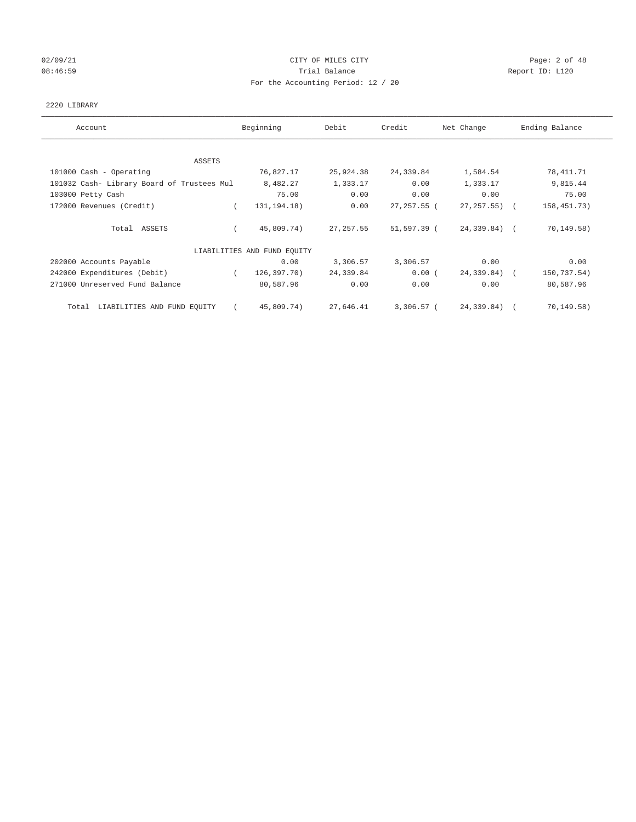# 02/09/21 CITY OF MILES CITY CHECK CITY CONTROL Page: 2 of 48 08:46:59 Report ID: L120 For the Accounting Period: 12 / 20

## 2220 LIBRARY

| Account                                    | Beginning                   | Debit      | Credit         | Net Change        | Ending Balance |
|--------------------------------------------|-----------------------------|------------|----------------|-------------------|----------------|
| ASSETS                                     |                             |            |                |                   |                |
| 101000 Cash - Operating                    | 76,827.17                   | 25,924.38  | 24,339.84      | 1,584.54          | 78,411.71      |
| 101032 Cash- Library Board of Trustees Mul | 8,482.27                    | 1,333.17   | 0.00           | 1,333.17          | 9,815.44       |
| 103000 Petty Cash                          | 75.00                       | 0.00       | 0.00           | 0.00              | 75.00          |
| 172000 Revenues (Credit)                   | 131, 194. 18)               | 0.00       | $27, 257.55$ ( | $27, 257, 55$ ) ( | 158,451.73)    |
| Total ASSETS                               | 45,809.74)                  | 27, 257.55 | 51,597.39 (    | 24,339.84) (      | 70, 149.58)    |
|                                            | LIABILITIES AND FUND EQUITY |            |                |                   |                |
| 202000 Accounts Payable                    | 0.00                        | 3,306.57   | 3,306.57       | 0.00              | 0.00           |
| 242000 Expenditures (Debit)                | 126,397.70)<br>$\sqrt{2}$   | 24,339.84  | 0.00(          | 24,339.84) (      | 150,737.54)    |
| 271000 Unreserved Fund Balance             | 80,587.96                   | 0.00       | 0.00           | 0.00              | 80,587.96      |
| Total LIABILITIES AND FUND EQUITY          | 45,809.74)                  | 27,646.41  | 3,306.57 (     | 24,339.84) (      | 70,149.58)     |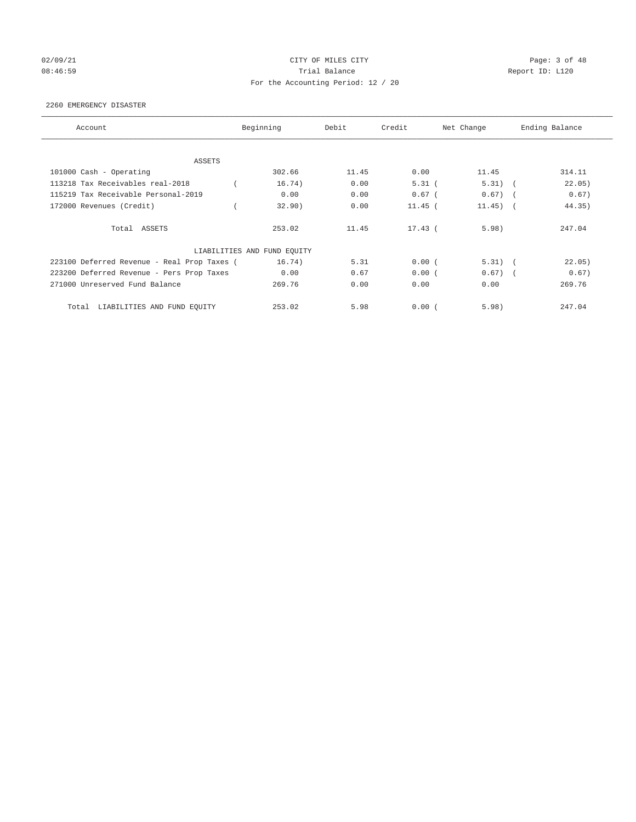# 02/09/21 CITY OF MILES CITY CHARGES CITY CONTROL Page: 3 of 48 08:46:59 Report ID: L120 For the Accounting Period: 12 / 20

#### 2260 EMERGENCY DISASTER

| Account                                     | Beginning                   | Debit | Credit    | Net Change | Ending Balance |
|---------------------------------------------|-----------------------------|-------|-----------|------------|----------------|
| <b>ASSETS</b>                               |                             |       |           |            |                |
| 101000 Cash - Operating                     | 302.66                      | 11.45 | 0.00      | 11.45      | 314.11         |
| 113218 Tax Receivables real-2018            | 16.74)                      | 0.00  | $5.31$ (  | $5.31)$ (  | 22.05)         |
| 115219 Tax Receivable Personal-2019         | 0.00                        | 0.00  | $0.67$ (  | $0.67)$ (  | 0.67)          |
| 172000 Revenues (Credit)                    | 32.90)                      | 0.00  | $11.45$ ( | $11.45)$ ( | 44.35)         |
| Total ASSETS                                | 253.02                      | 11.45 | $17.43$ ( | 5.98)      | 247.04         |
|                                             | LIABILITIES AND FUND EQUITY |       |           |            |                |
| 223100 Deferred Revenue - Real Prop Taxes ( | 16.74)                      | 5.31  | 0.00(     | $5.31)$ (  | 22.05)         |
| 223200 Deferred Revenue - Pers Prop Taxes   | 0.00                        | 0.67  | 0.00(     | $0.67)$ (  | 0.67)          |
| 271000 Unreserved Fund Balance              | 269.76                      | 0.00  | 0.00      | 0.00       | 269.76         |
| LIABILITIES AND FUND EQUITY<br>Total        | 253.02                      | 5.98  | 0.00(     | 5.98)      | 247.04         |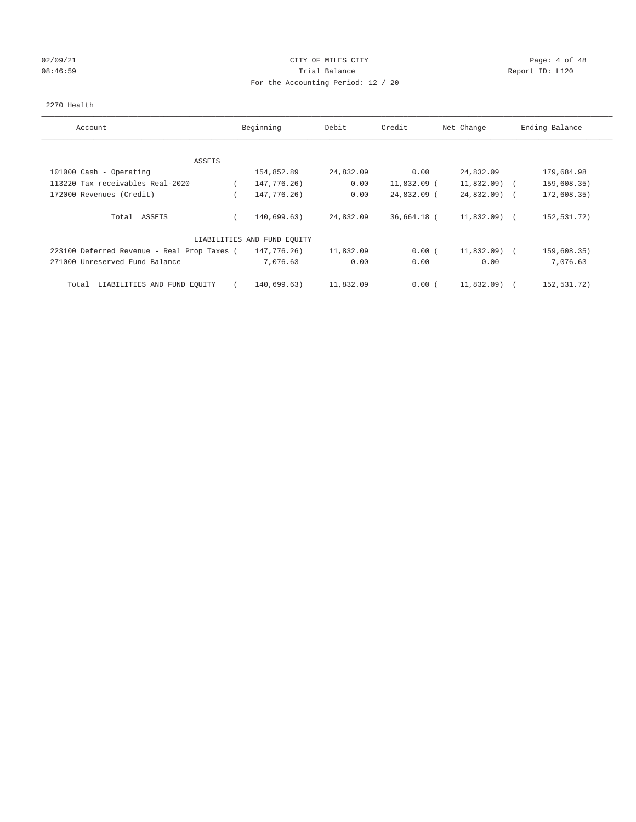# 02/09/21 CITY OF MILES CITY CHARGES CONTROLLER Page: 4 of 48 08:46:59 Report ID: L120 For the Accounting Period: 12 / 20

## 2270 Health

| Account                                     | Beginning                   | Debit     | Credit        | Net Change    | Ending Balance |
|---------------------------------------------|-----------------------------|-----------|---------------|---------------|----------------|
|                                             |                             |           |               |               |                |
| ASSETS                                      |                             |           |               |               |                |
| 101000 Cash - Operating                     | 154,852.89                  | 24,832.09 | 0.00          | 24,832.09     | 179,684.98     |
| 113220 Tax receivables Real-2020            | 147,776.26)                 | 0.00      | $11,832.09$ ( | 11,832.09)    | 159,608.35)    |
| 172000 Revenues (Credit)                    | 147,776.26)                 | 0.00      | 24,832.09 (   | $24,832.09$ ( | 172,608.35)    |
| Total ASSETS                                | 140.699.63)                 | 24,832.09 | 36,664.18 (   | $11,832.09$ ( | 152,531.72)    |
|                                             | LIABILITIES AND FUND EQUITY |           |               |               |                |
| 223100 Deferred Revenue - Real Prop Taxes ( | 147,776.26)                 | 11,832.09 | 0.00(         | 11,832.09)    | 159,608.35)    |
| 271000 Unreserved Fund Balance              | 7,076.63                    | 0.00      | 0.00          | 0.00          | 7,076.63       |
| Total<br>LIABILITIES AND FUND EQUITY        | 140,699.63)                 | 11,832.09 | 0.00(         | 11,832.09)    | 152,531.72)    |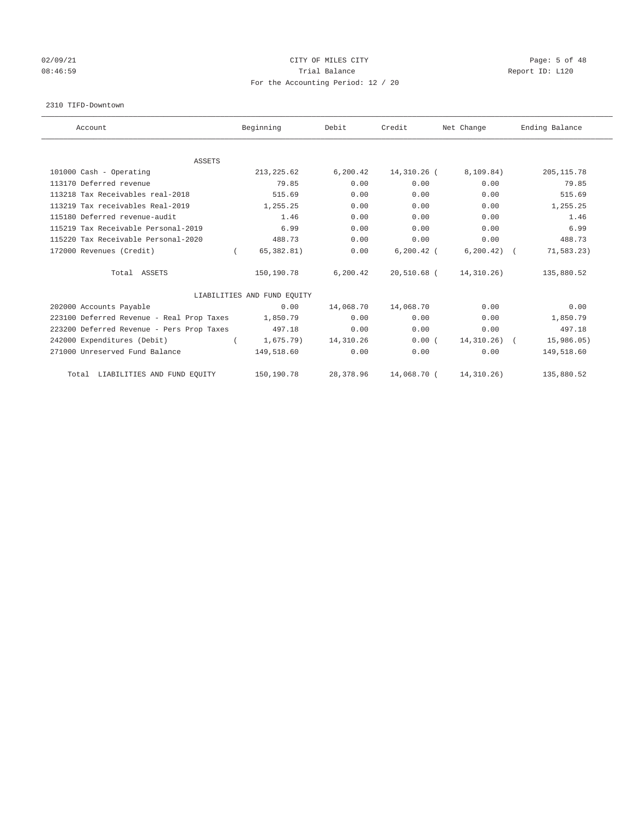# 02/09/21 CITY OF MILES CITY CHARGES CITY CONTROL Page: 5 of 48 08:46:59 Report ID: L120 For the Accounting Period: 12 / 20

#### 2310 TIFD-Downtown

| Account                                   | Beginning                   | Debit     | Credit        | Net Change   | Ending Balance |
|-------------------------------------------|-----------------------------|-----------|---------------|--------------|----------------|
|                                           |                             |           |               |              |                |
| <b>ASSETS</b><br>101000 Cash - Operating  | 213, 225.62                 | 6, 200.42 | 14,310.26 (   | 8,109.84)    | 205, 115.78    |
| 113170 Deferred revenue                   | 79.85                       | 0.00      | 0.00          | 0.00         | 79.85          |
|                                           |                             |           |               |              |                |
| 113218 Tax Receivables real-2018          | 515.69                      | 0.00      | 0.00          | 0.00         | 515.69         |
| 113219 Tax receivables Real-2019          | 1,255.25                    | 0.00      | 0.00          | 0.00         | 1,255.25       |
| 115180 Deferred revenue-audit             | 1.46                        | 0.00      | 0.00          | 0.00         | 1.46           |
| 115219 Tax Receivable Personal-2019       | 6.99                        | 0.00      | 0.00          | 0.00         | 6.99           |
| 115220 Tax Receivable Personal-2020       | 488.73                      | 0.00      | 0.00          | 0.00         | 488.73         |
| 172000 Revenues (Credit)                  | 65, 382.81)                 | 0.00      | $6, 200.42$ ( | 6, 200.42)   | 71,583.23)     |
| Total ASSETS                              | 150,190.78                  | 6, 200.42 | 20,510.68 (   | 14,310.26)   | 135,880.52     |
|                                           | LIABILITIES AND FUND EQUITY |           |               |              |                |
| 202000 Accounts Payable                   | 0.00                        | 14,068.70 | 14,068.70     | 0.00         | 0.00           |
| 223100 Deferred Revenue - Real Prop Taxes | 1,850.79                    | 0.00      | 0.00          | 0.00         | 1,850.79       |
| 223200 Deferred Revenue - Pers Prop Taxes | 497.18                      | 0.00      | 0.00          | 0.00         | 497.18         |
| 242000 Expenditures (Debit)               | $1,675.79$ )                | 14,310.26 | 0.00(         | 14, 310.26)  | 15,986.05)     |
| 271000 Unreserved Fund Balance            | 149,518.60                  | 0.00      | 0.00          | 0.00         | 149,518.60     |
| Total LIABILITIES AND FUND EQUITY         | 150,190.78                  | 28,378.96 | 14,068.70 (   | 14, 310. 26) | 135,880.52     |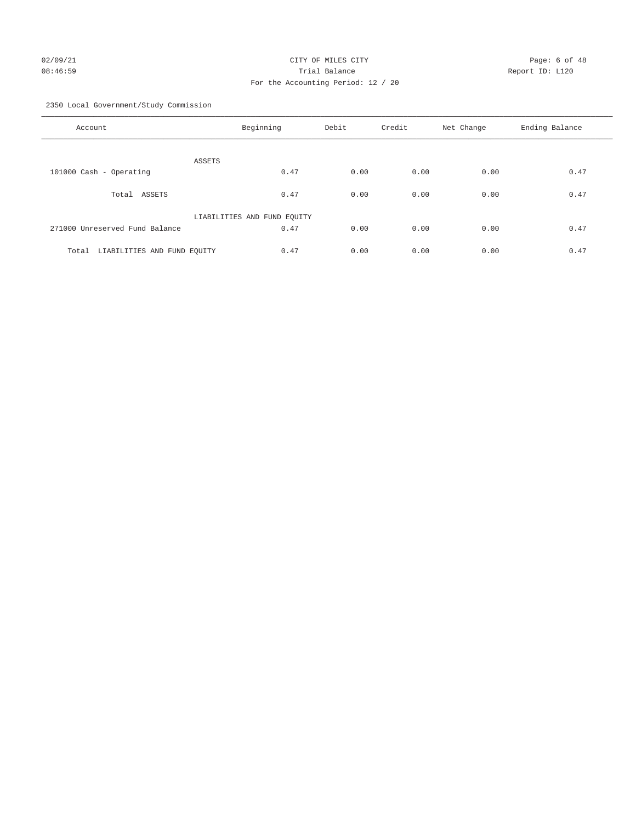# 02/09/21 CITY OF MILES CITY CHARGES CONTROLLER Page: 6 of 48 08:46:59 Trial Balance Report ID: L120 For the Accounting Period: 12 / 20

2350 Local Government/Study Commission

| Account                              | Beginning                   | Debit | Credit | Net Change | Ending Balance |
|--------------------------------------|-----------------------------|-------|--------|------------|----------------|
| ASSETS                               |                             |       |        |            |                |
| 101000 Cash - Operating              | 0.47                        | 0.00  | 0.00   | 0.00       | 0.47           |
| ASSETS<br>Total                      | 0.47                        | 0.00  | 0.00   | 0.00       | 0.47           |
|                                      | LIABILITIES AND FUND EQUITY |       |        |            |                |
| 271000 Unreserved Fund Balance       | 0.47                        | 0.00  | 0.00   | 0.00       | 0.47           |
| Total<br>LIABILITIES AND FUND EQUITY | 0.47                        | 0.00  | 0.00   | 0.00       | 0.47           |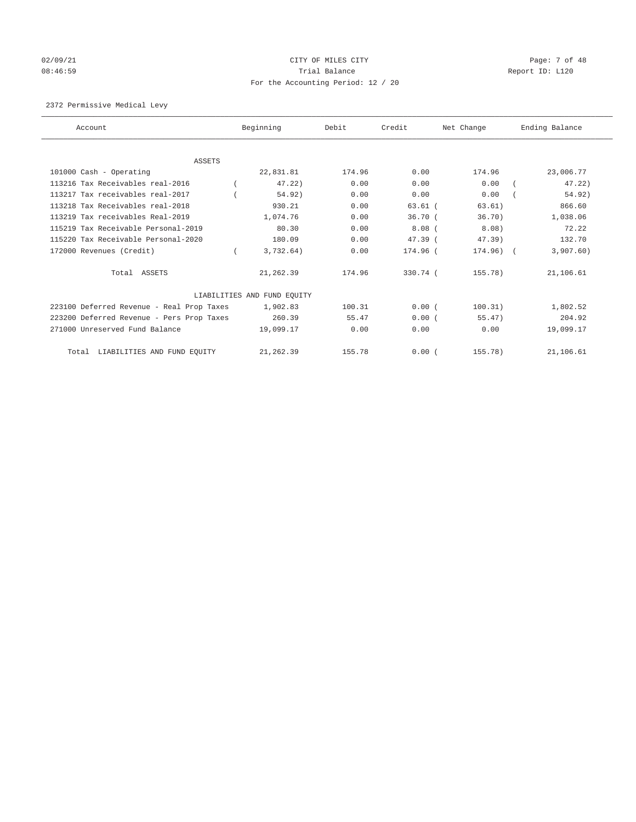# 02/09/21 CITY OF MILES CITY CHECK CITY CONTROL Page: 7 of 48 08:46:59 Report ID: L120 For the Accounting Period: 12 / 20

2372 Permissive Medical Levy

| Account                                   | Beginning                   | Debit  | Credit    | Net Change  | Ending Balance |
|-------------------------------------------|-----------------------------|--------|-----------|-------------|----------------|
|                                           |                             |        |           |             |                |
| ASSETS                                    |                             |        |           |             |                |
| 101000 Cash - Operating                   | 22,831.81                   | 174.96 | 0.00      | 174.96      | 23,006.77      |
| 113216 Tax Receivables real-2016          | $47.22$ )                   | 0.00   | 0.00      | 0.00        | 47.22)         |
| 113217 Tax receivables real-2017          | 54.92)                      | 0.00   | 0.00      | 0.00        | 54.92)         |
| 113218 Tax Receivables real-2018          | 930.21                      | 0.00   | $63.61$ ( | 63.61)      | 866.60         |
| 113219 Tax receivables Real-2019          | 1,074.76                    | 0.00   | 36.70(    | 36.70)      | 1,038.06       |
| 115219 Tax Receivable Personal-2019       | 80.30                       | 0.00   | $8.08$ (  | 8.08)       | 72.22          |
| 115220 Tax Receivable Personal-2020       | 180.09                      | 0.00   | $47.39$ ( | $47.39$ )   | 132.70         |
| 172000 Revenues (Credit)                  | 3,732.64)                   | 0.00   | 174.96 (  | $174.96)$ ( | 3,907.60)      |
| Total ASSETS                              | 21,262.39                   | 174.96 | 330.74 (  | 155.78)     | 21,106.61      |
|                                           | LIABILITIES AND FUND EQUITY |        |           |             |                |
| 223100 Deferred Revenue - Real Prop Taxes | 1,902.83                    | 100.31 | 0.00(     | 100.31)     | 1,802.52       |
| 223200 Deferred Revenue - Pers Prop Taxes | 260.39                      | 55.47  | 0.00(     | 55.47)      | 204.92         |
| 271000 Unreserved Fund Balance            | 19,099.17                   | 0.00   | 0.00      | 0.00        | 19,099.17      |
| Total LIABILITIES AND FUND EQUITY         | 21, 262.39                  | 155.78 | 0.00(     | 155.78)     | 21,106.61      |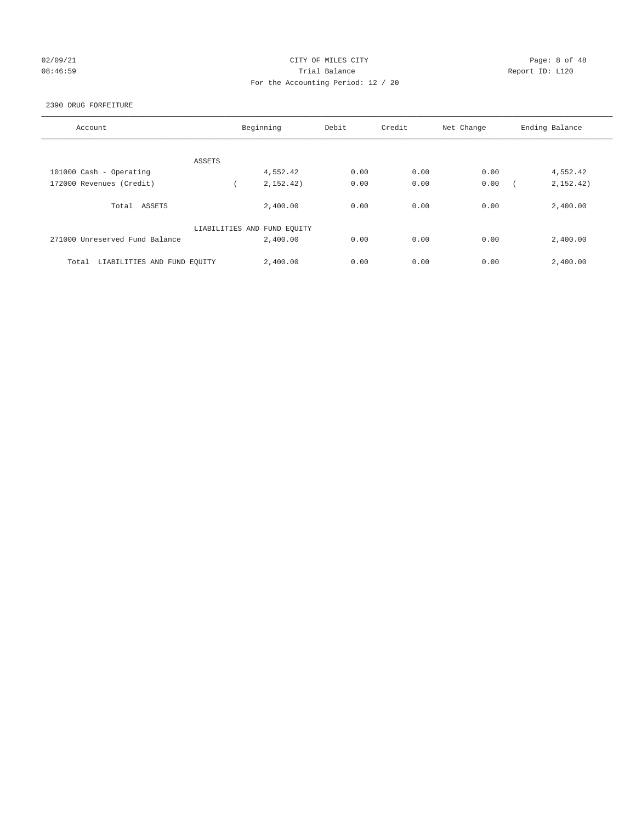## 02/09/21 CITY OF MILES CITY CHARGES CONTROLLER Page: 8 of 48 08:46:59 Report ID: L120 For the Accounting Period: 12 / 20

## 2390 DRUG FORFEITURE

| Account                              | Beginning                   | Debit | Credit | Net Change | Ending Balance |
|--------------------------------------|-----------------------------|-------|--------|------------|----------------|
|                                      |                             |       |        |            |                |
| ASSETS                               |                             |       |        |            |                |
| 101000 Cash - Operating              | 4,552.42                    | 0.00  | 0.00   | 0.00       | 4,552.42       |
| 172000 Revenues (Credit)             | 2, 152, 42)                 | 0.00  | 0.00   | 0.00       | 2,152.42)      |
| Total ASSETS                         | 2,400.00                    | 0.00  | 0.00   | 0.00       | 2,400.00       |
|                                      | LIABILITIES AND FUND EQUITY |       |        |            |                |
| 271000 Unreserved Fund Balance       | 2,400.00                    | 0.00  | 0.00   | 0.00       | 2,400.00       |
| LIABILITIES AND FUND EQUITY<br>Total | 2,400.00                    | 0.00  | 0.00   | 0.00       | 2,400.00       |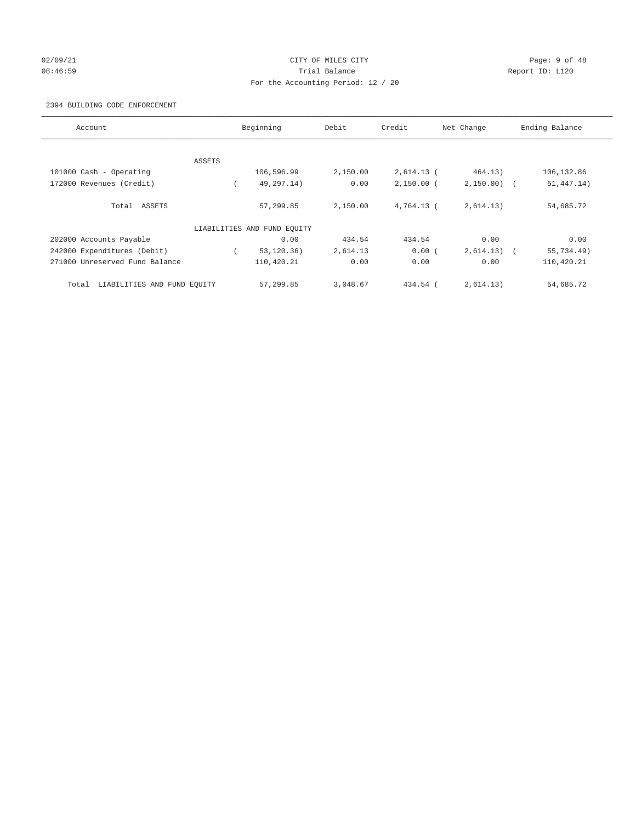## 02/09/21 Page: 9 of 48 08:46:59 Report ID: L120 For the Accounting Period: 12 / 20

## 2394 BUILDING CODE ENFORCEMENT

| Account                              | Beginning                   | Debit    | Credit       | Net Change   | Ending Balance           |
|--------------------------------------|-----------------------------|----------|--------------|--------------|--------------------------|
|                                      |                             |          |              |              |                          |
| ASSETS                               |                             |          |              |              |                          |
| 101000 Cash - Operating              | 106,596.99                  | 2,150.00 | $2,614.13$ ( | 464.13)      | 106,132.86               |
| 172000 Revenues (Credit)             | 49,297.14)                  | 0.00     | $2,150.00$ ( | $2,150.00$ ( | 51, 447.14)              |
| Total ASSETS                         | 57,299.85                   | 2,150.00 | $4.764.13$ ( | 2,614.13)    | 54,685.72                |
|                                      | LIABILITIES AND FUND EQUITY |          |              |              |                          |
| 202000 Accounts Payable              | 0.00                        | 434.54   | 434.54       | 0.00         | 0.00                     |
| 242000 Expenditures (Debit)          | 53, 120.36)                 | 2,614.13 | 0.00(        | 2,614.13)    | 55,734.49)<br>$\sqrt{2}$ |
| 271000 Unreserved Fund Balance       | 110,420.21                  | 0.00     | 0.00         | 0.00         | 110,420.21               |
| LIABILITIES AND FUND EQUITY<br>Total | 57,299.85                   | 3,048.67 | 434.54 (     | 2,614.13)    | 54,685.72                |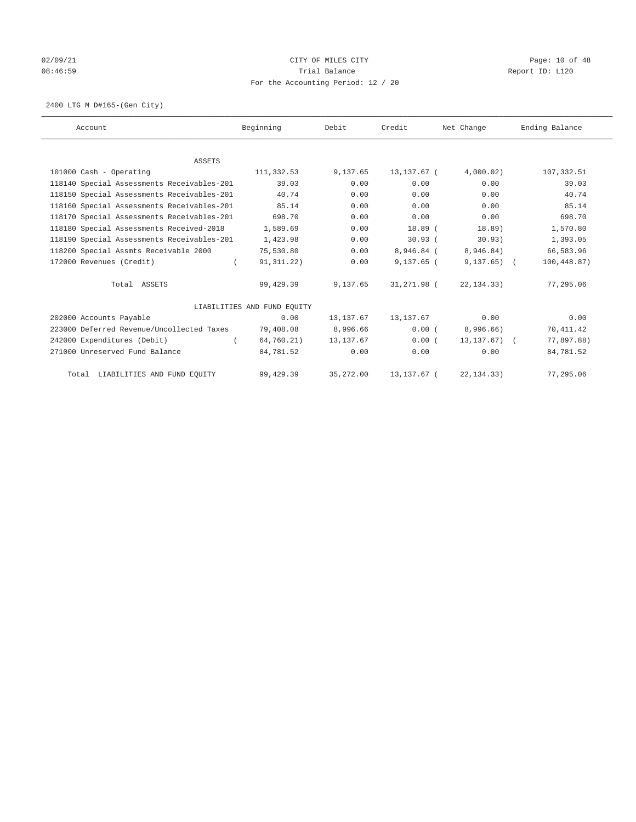# 02/09/21 CITY OF MILES CITY CHECK CITY CHECK CONTROL Page: 10 of 48 08:46:59 Report ID: L120 For the Accounting Period: 12 / 20

2400 LTG M D#165-(Gen City)

| Account                                    | Beginning                   | Debit      | Credit       | Net Change       | Ending Balance |
|--------------------------------------------|-----------------------------|------------|--------------|------------------|----------------|
|                                            |                             |            |              |                  |                |
| <b>ASSETS</b>                              |                             |            |              |                  |                |
| 101000 Cash - Operating                    | 111,332.53                  | 9,137.65   | 13,137.67 (  | 4,000.02)        | 107,332.51     |
| 118140 Special Assessments Receivables-201 | 39.03                       | 0.00       | 0.00         | 0.00             | 39.03          |
| 118150 Special Assessments Receivables-201 | 40.74                       | 0.00       | 0.00         | 0.00             | 40.74          |
| 118160 Special Assessments Receivables-201 | 85.14                       | 0.00       | 0.00         | 0.00             | 85.14          |
| 118170 Special Assessments Receivables-201 | 698.70                      | 0.00       | 0.00         | 0.00             | 698.70         |
| 118180 Special Assessments Received-2018   | 1,589.69                    | 0.00       | $18.89$ (    | 18.89)           | 1,570.80       |
| 118190 Special Assessments Receivables-201 | 1,423.98                    | 0.00       | 30.93(       | 30.93)           | 1,393.05       |
| 118200 Special Assmts Receivable 2000      | 75,530.80                   | 0.00       | 8,946.84 (   | 8,946.84)        | 66,583.96      |
| 172000 Revenues (Credit)                   | 91, 311. 22)<br>$\left($    | 0.00       | $9,137.65$ ( | $9,137.65$ (     | 100,448.87)    |
| Total ASSETS                               | 99,429.39                   | 9,137.65   | 31,271.98 (  | 22, 134. 33)     | 77,295.06      |
|                                            | LIABILITIES AND FUND EQUITY |            |              |                  |                |
| 202000 Accounts Payable                    | 0.00                        | 13, 137.67 | 13,137.67    | 0.00             | 0.00           |
| 223000 Deferred Revenue/Uncollected Taxes  | 79,408.08                   | 8,996.66   | 0.00(        | 8,996.66)        | 70, 411.42     |
| 242000 Expenditures (Debit)                | 64,760.21)                  | 13, 137.67 | 0.00(        | $13, 137.67$ ) ( | 77,897.88)     |
| 271000 Unreserved Fund Balance             | 84,781.52                   | 0.00       | 0.00         | 0.00             | 84,781.52      |
| Total LIABILITIES AND FUND EQUITY          | 99,429.39                   | 35, 272.00 | 13, 137.67 ( | 22, 134.33)      | 77,295.06      |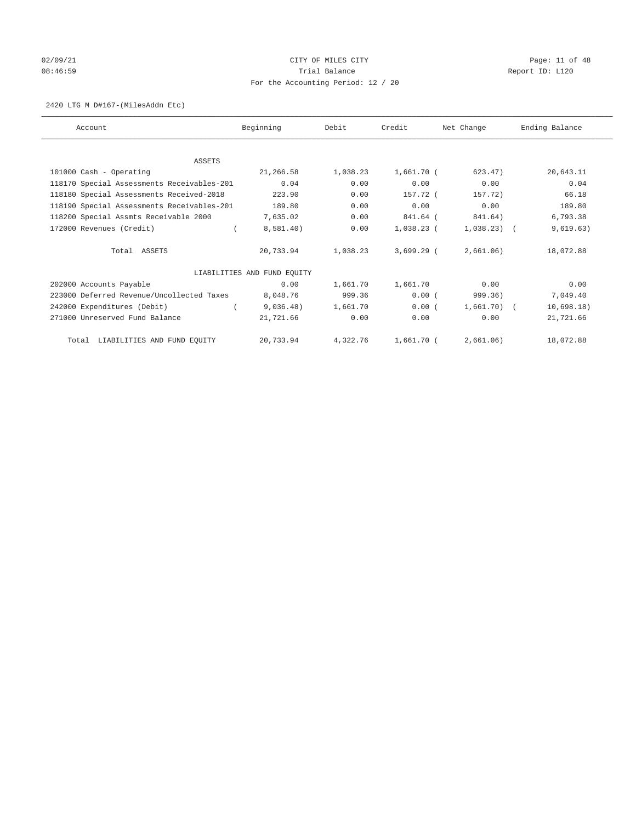# 02/09/21 CITY OF MILES CITY CHECK CONTROL Page: 11 of 48 08:46:59 Report ID: L120 For the Accounting Period: 12 / 20

## 2420 LTG M D#167-(MilesAddn Etc)

| Account                                    | Beginning                   | Debit    | Credit       | Net Change   | Ending Balance |
|--------------------------------------------|-----------------------------|----------|--------------|--------------|----------------|
|                                            |                             |          |              |              |                |
| ASSETS                                     |                             |          |              |              |                |
| 101000 Cash - Operating                    | 21,266.58                   | 1,038.23 | 1,661.70 (   | 623.47)      | 20,643.11      |
| 118170 Special Assessments Receivables-201 | 0.04                        | 0.00     | 0.00         | 0.00         | 0.04           |
| 118180 Special Assessments Received-2018   | 223.90                      | 0.00     | 157.72 (     | 157.72)      | 66.18          |
| 118190 Special Assessments Receivables-201 | 189.80                      | 0.00     | 0.00         | 0.00         | 189.80         |
| 118200 Special Assmts Receivable 2000      | 7,635.02                    | 0.00     | 841.64 (     | 841.64)      | 6,793.38       |
| 172000 Revenues (Credit)                   | 8,581.40)                   | 0.00     | $1,038.23$ ( | $1,038.23$ ( | 9,619.63)      |
| Total ASSETS                               | 20,733.94                   | 1,038.23 | $3.699.29$ ( | 2,661.06)    | 18,072.88      |
|                                            | LIABILITIES AND FUND EOUITY |          |              |              |                |
| 202000 Accounts Payable                    | 0.00                        | 1,661.70 | 1,661.70     | 0.00         | 0.00           |
| 223000 Deferred Revenue/Uncollected Taxes  | 8,048.76                    | 999.36   | 0.00(        | 999.36)      | 7,049.40       |
| 242000 Expenditures (Debit)                | 9,036.48)                   | 1,661.70 | 0.00(        | $1,661.70$ ( | 10,698.18)     |
| 271000 Unreserved Fund Balance             | 21,721.66                   | 0.00     | 0.00         | 0.00         | 21,721.66      |
| Total LIABILITIES AND FUND EOUITY          | 20,733.94                   | 4,322.76 | 1,661.70 (   | 2,661.06)    | 18,072.88      |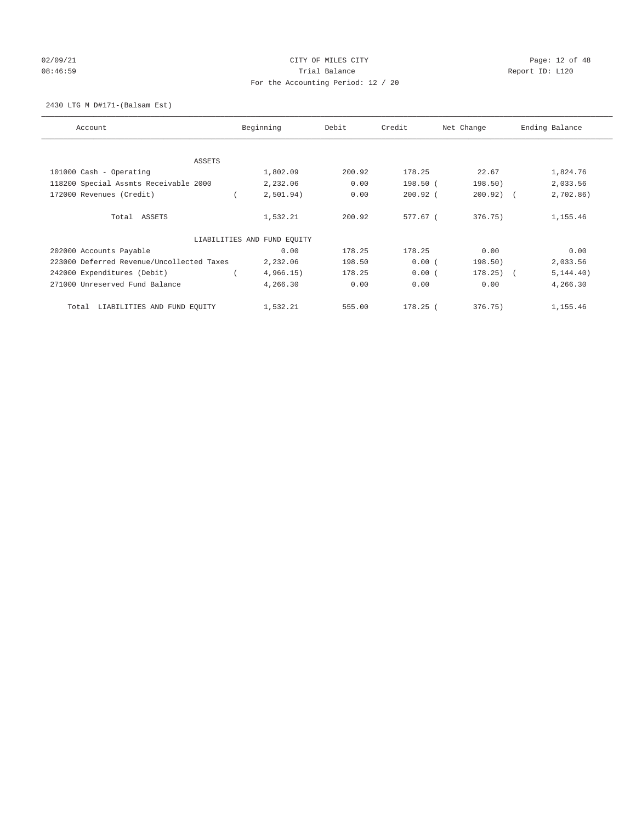# 02/09/21 CITY OF MILES CITY CHECK CONTROL Page: 12 of 48 08:46:59 Report ID: L120 For the Accounting Period: 12 / 20

2430 LTG M D#171-(Balsam Est)

| Account                                   | Beginning                   | Debit  | Credit     | Net Change   | Ending Balance |
|-------------------------------------------|-----------------------------|--------|------------|--------------|----------------|
| <b>ASSETS</b>                             |                             |        |            |              |                |
| 101000 Cash - Operating                   | 1,802.09                    | 200.92 | 178.25     | 22.67        | 1,824.76       |
| 118200 Special Assmts Receivable 2000     | 2,232.06                    | 0.00   | 198.50 (   | 198.50)      | 2,033.56       |
| 172000 Revenues (Credit)                  | 2,501.94)                   | 0.00   | $200.92$ ( | $200.92)$ (  | 2,702.86)      |
| Total ASSETS                              | 1,532.21                    | 200.92 | 577.67 (   | 376.75)      | 1,155.46       |
|                                           | LIABILITIES AND FUND EQUITY |        |            |              |                |
| 202000 Accounts Payable                   | 0.00                        | 178.25 | 178.25     | 0.00         | 0.00           |
| 223000 Deferred Revenue/Uncollected Taxes | 2,232.06                    | 198.50 | 0.00(      | 198.50)      | 2,033.56       |
| 242000 Expenditures (Debit)               | 4,966.15)                   | 178.25 | 0.00(      | $178.25$ ) ( | 5, 144.40)     |
| 271000 Unreserved Fund Balance            | 4,266.30                    | 0.00   | 0.00       | 0.00         | 4,266.30       |
| LIABILITIES AND FUND EQUITY<br>Total      | 1,532.21                    | 555.00 | $178.25$ ( | 376.75)      | 1,155.46       |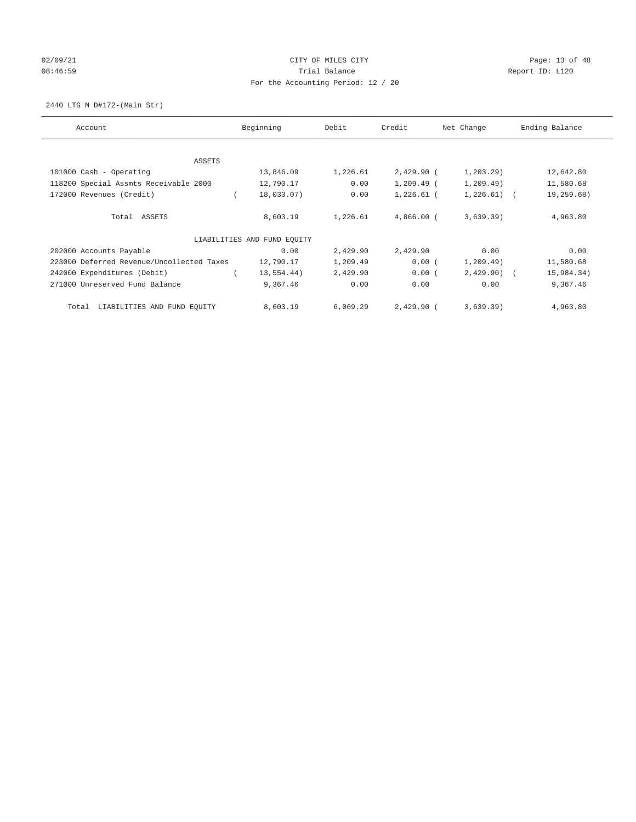# 02/09/21 CITY OF MILES CITY CHECK CITY CHECK CONTROL Page: 13 of 48 08:46:59 Report ID: L120 For the Accounting Period: 12 / 20

2440 LTG M D#172-(Main Str)

| Account                                   | Beginning                   | Debit    | Credit       | Net Change   | Ending Balance |
|-------------------------------------------|-----------------------------|----------|--------------|--------------|----------------|
| ASSETS                                    |                             |          |              |              |                |
| 101000 Cash - Operating                   | 13,846.09                   | 1,226.61 | $2,429.90$ ( | 1, 203.29    | 12,642.80      |
| 118200 Special Assmts Receivable 2000     | 12,790.17                   | 0.00     | $1,209.49$ ( | 1, 209.49)   | 11,580.68      |
| 172000 Revenues (Credit)                  | 18,033.07)                  | 0.00     | $1,226.61$ ( | $1,226.61$ ( | 19,259.68)     |
| Total ASSETS                              | 8,603.19                    | 1,226.61 | 4,866.00 (   | 3,639.39)    | 4,963.80       |
|                                           | LIABILITIES AND FUND EQUITY |          |              |              |                |
| 202000 Accounts Payable                   | 0.00                        | 2,429.90 | 2,429.90     | 0.00         | 0.00           |
| 223000 Deferred Revenue/Uncollected Taxes | 12,790.17                   | 1,209.49 | 0.00(        | 1, 209.49)   | 11,580.68      |
| 242000 Expenditures (Debit)               | 13, 554.44)                 | 2,429.90 | 0.00(        | $2,429.90$ ( | 15,984.34)     |
| 271000 Unreserved Fund Balance            | 9,367.46                    | 0.00     | 0.00         | 0.00         | 9,367.46       |
| LIABILITIES AND FUND EQUITY<br>Total      | 8,603.19                    | 6,069.29 | 2,429.90 (   | 3,639.39)    | 4,963.80       |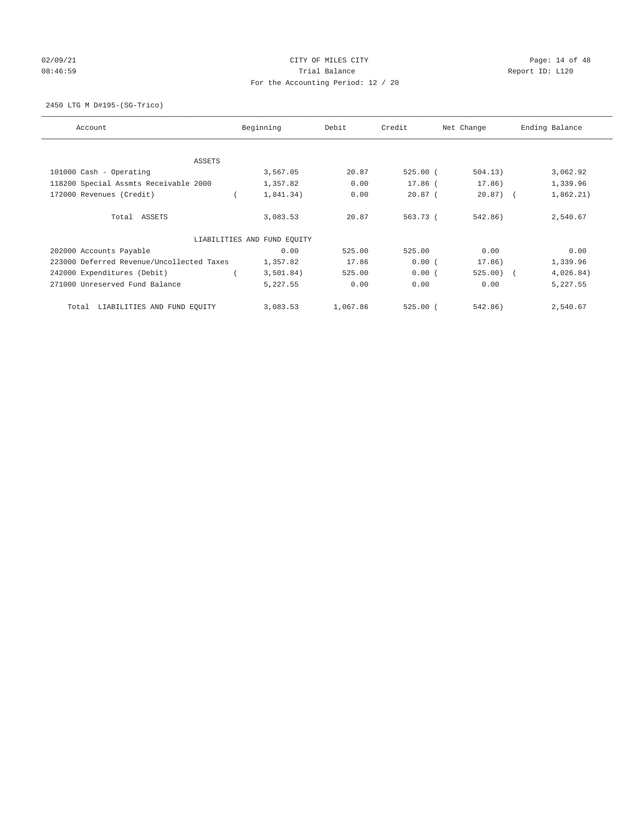# 02/09/21 CITY OF MILES CITY CHECK CONTROL Page: 14 of 48 08:46:59 Report ID: L120 For the Accounting Period: 12 / 20

2450 LTG M D#195-(SG-Trico)

| Account                                   | Beginning                   | Debit    | Credit     | Net Change   | Ending Balance |
|-------------------------------------------|-----------------------------|----------|------------|--------------|----------------|
| ASSETS                                    |                             |          |            |              |                |
| 101000 Cash - Operating                   | 3,567.05                    | 20.87    | $525.00$ ( | 504.13)      | 3,062.92       |
| 118200 Special Assmts Receivable 2000     | 1,357.82                    | 0.00     | 17.86 (    | 17.86)       | 1,339.96       |
| 172000 Revenues (Credit)                  | 1,841.34)                   | 0.00     | $20.87$ (  | $20.87$ ) (  | 1,862.21)      |
| Total ASSETS                              | 3,083.53                    | 20.87    | 563.73 (   | 542.86)      | 2,540.67       |
|                                           | LIABILITIES AND FUND EQUITY |          |            |              |                |
| 202000 Accounts Payable                   | 0.00                        | 525.00   | 525.00     | 0.00         | 0.00           |
| 223000 Deferred Revenue/Uncollected Taxes | 1,357.82                    | 17.86    | 0.00(      | 17.86)       | 1,339.96       |
| 242000 Expenditures (Debit)               | 3,501.84)                   | 525.00   | 0.00(      | $525.00$ ) ( | 4,026.84)      |
| 271000 Unreserved Fund Balance            | 5,227.55                    | 0.00     | 0.00       | 0.00         | 5,227.55       |
| LIABILITIES AND FUND EQUITY<br>Total      | 3,083.53                    | 1,067.86 | $525.00$ ( | 542.86)      | 2,540.67       |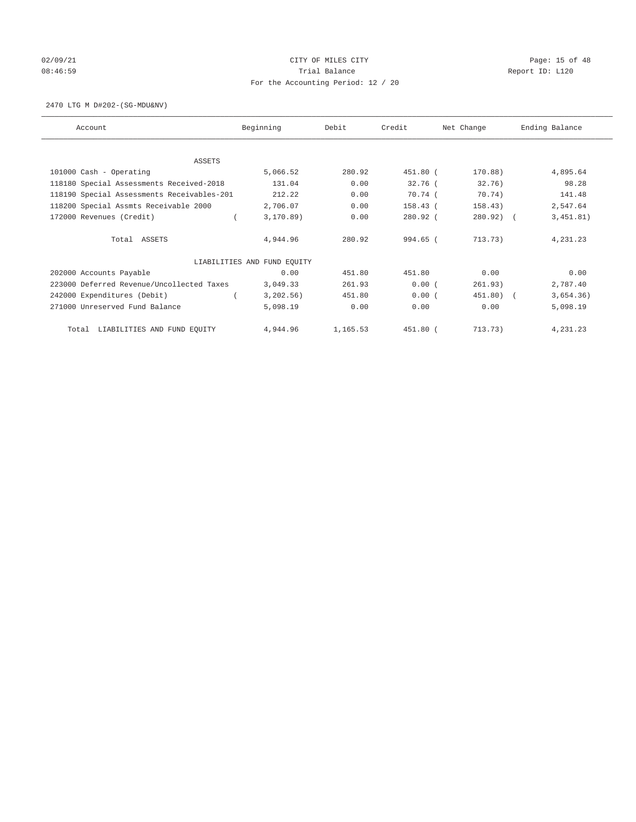# 02/09/21 CITY OF MILES CITY CHECK CITY CHECK CONTROL Page: 15 of 48 08:46:59 Report ID: L120 For the Accounting Period: 12 / 20

2470 LTG M D#202-(SG-MDU&NV)

| Account                                    | Beginning                   | Debit    | Credit     | Net Change  | Ending Balance          |
|--------------------------------------------|-----------------------------|----------|------------|-------------|-------------------------|
| <b>ASSETS</b>                              |                             |          |            |             |                         |
| 101000 Cash - Operating                    | 5,066.52                    | 280.92   | 451.80 (   | 170.88)     | 4,895.64                |
| 118180 Special Assessments Received-2018   | 131.04                      | 0.00     | $32.76$ (  | 32.76)      | 98.28                   |
| 118190 Special Assessments Receivables-201 | 212.22                      | 0.00     | $70.74$ (  | 70.74)      | 141.48                  |
| 118200 Special Assmts Receivable 2000      | 2,706.07                    | 0.00     | $158.43$ ( | 158.43)     | 2,547.64                |
| 172000 Revenues (Credit)                   | 3, 170.89)                  | 0.00     | 280.92 (   | $280.92)$ ( | 3,451.81)               |
| Total ASSETS                               | 4,944.96                    | 280.92   | 994.65 (   | 713.73)     | 4,231.23                |
|                                            | LIABILITIES AND FUND EQUITY |          |            |             |                         |
| 202000 Accounts Payable                    | 0.00                        | 451.80   | 451.80     | 0.00        | 0.00                    |
| 223000 Deferred Revenue/Uncollected Taxes  | 3,049.33                    | 261.93   | 0.00(      | 261.93)     | 2,787.40                |
| 242000 Expenditures (Debit)                | 3,202.56)                   | 451.80   | 0.00(      | 451.80)     | 3,654.36)<br>$\sqrt{2}$ |
| 271000 Unreserved Fund Balance             | 5,098.19                    | 0.00     | 0.00       | 0.00        | 5,098.19                |
| LIABILITIES AND FUND EQUITY<br>Total       | 4,944.96                    | 1,165.53 | 451.80 (   | 713.73)     | 4,231.23                |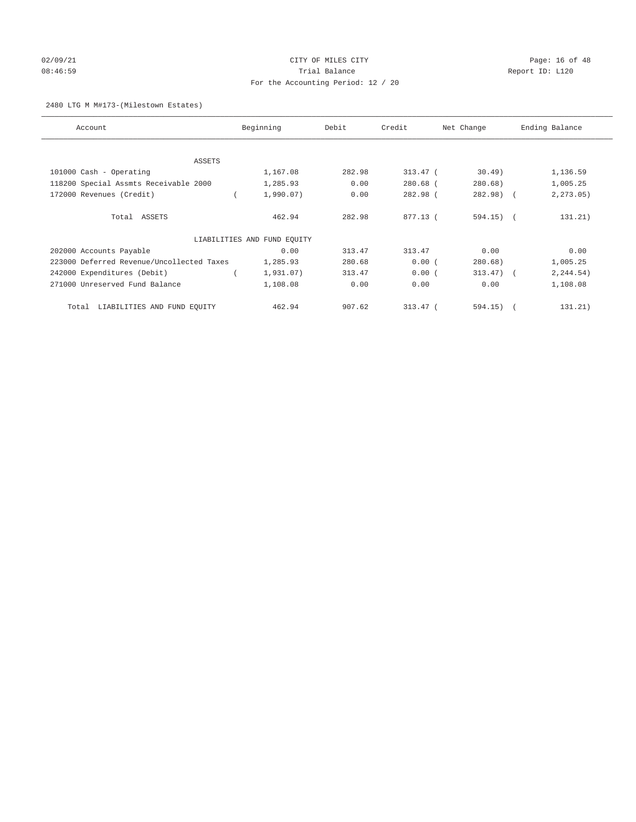# 02/09/21 CITY OF MILES CITY CHECK CONTROL Page: 16 of 48 08:46:59 Report ID: L120 For the Accounting Period: 12 / 20

## 2480 LTG M M#173-(Milestown Estates)

| Account                                   | Beginning                   | Debit  | Credit     | Net Change            | Ending Balance |
|-------------------------------------------|-----------------------------|--------|------------|-----------------------|----------------|
|                                           |                             |        |            |                       |                |
| <b>ASSETS</b>                             |                             |        |            |                       |                |
| 101000 Cash - Operating                   | 1,167.08                    | 282.98 | $313.47$ ( | 30.49                 | 1,136.59       |
| 118200 Special Assmts Receivable 2000     | 1,285.93                    | 0.00   | $280.68$ ( | 280.68)               | 1,005.25       |
| 172000 Revenues (Credit)                  | 1,990.07)                   | 0.00   | $282.98$ ( | $282.98$ (            | 2, 273.05)     |
| Total ASSETS                              | 462.94                      | 282.98 | 877.13 (   | $594.15)$ (           | 131.21)        |
|                                           | LIABILITIES AND FUND EQUITY |        |            |                       |                |
| 202000 Accounts Payable                   | 0.00                        | 313.47 | 313.47     | 0.00                  | 0.00           |
| 223000 Deferred Revenue/Uncollected Taxes | 1,285.93                    | 280.68 | 0.00(      | 280.68)               | 1,005.25       |
| 242000 Expenditures (Debit)               | 1,931.07)                   | 313.47 | 0.00(      | 313.47)<br>$\sqrt{2}$ | 2, 244.54)     |
| 271000 Unreserved Fund Balance            | 1,108.08                    | 0.00   | 0.00       | 0.00                  | 1,108.08       |
| LIABILITIES AND FUND EQUITY<br>Total      | 462.94                      | 907.62 | $313.47$ ( | 594.15)<br>$\sqrt{2}$ | 131.21)        |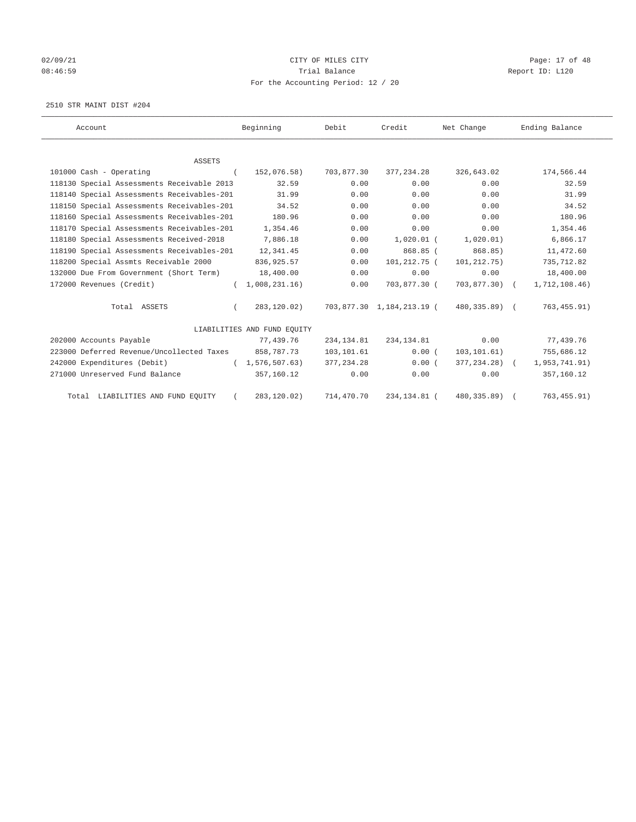# 02/09/21 CITY OF MILES CITY CHECK CITY CHECK CONTROL Page: 17 of 48 08:46:59 Report ID: L120 For the Accounting Period: 12 / 20

2510 STR MAINT DIST #204

| Account                                    | Beginning                   | Debit       | Credit                    | Net Change     | Ending Balance |
|--------------------------------------------|-----------------------------|-------------|---------------------------|----------------|----------------|
|                                            |                             |             |                           |                |                |
| <b>ASSETS</b>                              |                             |             |                           |                |                |
| 101000 Cash - Operating                    | 152,076.58)                 | 703,877.30  | 377,234.28                | 326,643.02     | 174,566.44     |
| 118130 Special Assessments Receivable 2013 | 32.59                       | 0.00        | 0.00                      | 0.00           | 32.59          |
| 118140 Special Assessments Receivables-201 | 31.99                       | 0.00        | 0.00                      | 0.00           | 31.99          |
| 118150 Special Assessments Receivables-201 | 34.52                       | 0.00        | 0.00                      | 0.00           | 34.52          |
| 118160 Special Assessments Receivables-201 | 180.96                      | 0.00        | 0.00                      | 0.00           | 180.96         |
| 118170 Special Assessments Receivables-201 | 1,354.46                    | 0.00        | 0.00                      | 0.00           | 1,354.46       |
| 118180 Special Assessments Received-2018   | 7,886.18                    | 0.00        | $1,020.01$ (              | 1,020.01)      | 6,866.17       |
| 118190 Special Assessments Receivables-201 | 12,341.45                   | 0.00        | 868.85 (                  | 868.85)        | 11,472.60      |
| 118200 Special Assmts Receivable 2000      | 836, 925.57                 | 0.00        | 101,212.75 (              | 101, 212. 75)  | 735,712.82     |
| 132000 Due From Government (Short Term)    | 18,400.00                   | 0.00        | 0.00                      | 0.00           | 18,400.00      |
| 172000 Revenues (Credit)                   | 1,008,231.16)               | 0.00        | 703,877.30 (              | $703,877.30$ ( | 1,712,108.46)  |
| Total ASSETS                               | 283,120.02)                 |             | 703,877.30 1,184,213.19 ( | 480,335.89) (  | 763, 455.91)   |
|                                            | LIABILITIES AND FUND EQUITY |             |                           |                |                |
| 202000 Accounts Payable                    | 77,439.76                   | 234, 134.81 | 234,134.81                | 0.00           | 77,439.76      |
| 223000 Deferred Revenue/Uncollected Taxes  | 858,787.73                  | 103,101.61  | 0.00(                     | 103, 101.61)   | 755,686.12     |
| 242000 Expenditures (Debit)                | (1, 576, 507.63)            | 377, 234.28 | 0.00(                     | 377,234.28) (  | 1,953,741.91)  |
| 271000 Unreserved Fund Balance             | 357,160.12                  | 0.00        | 0.00                      | 0.00           | 357,160.12     |
| Total LIABILITIES AND FUND EOUITY          | 283,120.02)                 | 714,470.70  | 234,134.81 (              | 480,335.89)    | 763, 455.91)   |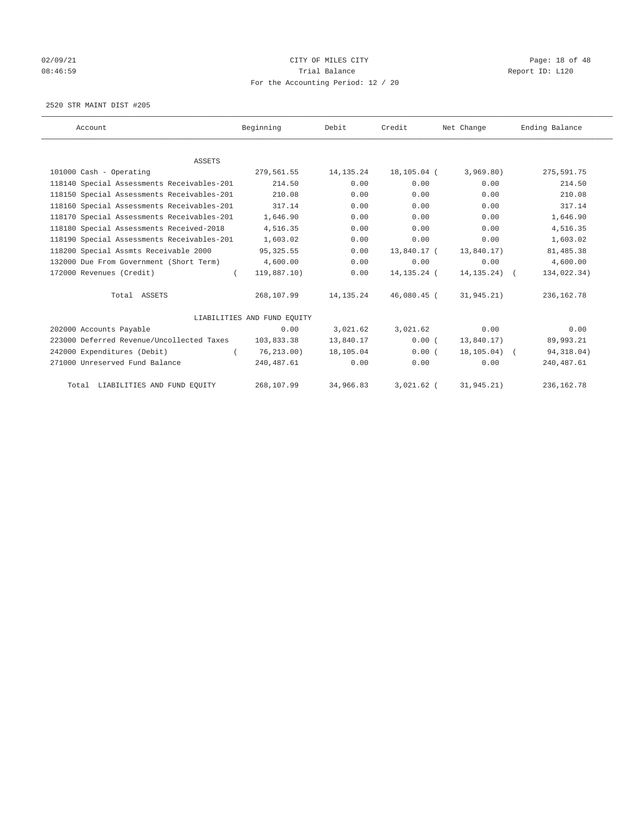# 02/09/21 CITY OF MILES CITY CHECK CITY CHECK CONTROL Page: 18 of 48 08:46:59 Report ID: L120 For the Accounting Period: 12 / 20

2520 STR MAINT DIST #205

| Account                                    | Beginning                   | Debit       | Credit       | Net Change      | Ending Balance |
|--------------------------------------------|-----------------------------|-------------|--------------|-----------------|----------------|
|                                            |                             |             |              |                 |                |
| <b>ASSETS</b>                              |                             |             |              |                 |                |
| 101000 Cash - Operating                    | 279,561.55                  | 14, 135. 24 | 18,105.04 (  | 3,969.80)       | 275,591.75     |
| 118140 Special Assessments Receivables-201 | 214.50                      | 0.00        | 0.00         | 0.00            | 214.50         |
| 118150 Special Assessments Receivables-201 | 210.08                      | 0.00        | 0.00         | 0.00            | 210.08         |
| 118160 Special Assessments Receivables-201 | 317.14                      | 0.00        | 0.00         | 0.00            | 317.14         |
| 118170 Special Assessments Receivables-201 | 1,646.90                    | 0.00        | 0.00         | 0.00            | 1,646.90       |
| 118180 Special Assessments Received-2018   | 4,516.35                    | 0.00        | 0.00         | 0.00            | 4,516.35       |
| 118190 Special Assessments Receivables-201 | 1,603.02                    | 0.00        | 0.00         | 0.00            | 1,603.02       |
| 118200 Special Assmts Receivable 2000      | 95, 325.55                  | 0.00        | 13,840.17 (  | 13,840.17)      | 81,485.38      |
| 132000 Due From Government (Short Term)    | 4,600.00                    | 0.00        | 0.00         | 0.00            | 4,600.00       |
| 172000 Revenues (Credit)                   | 119,887.10)                 | 0.00        | 14,135.24 (  | $14, 135, 24$ ( | 134,022.34)    |
| Total ASSETS                               | 268,107.99                  | 14, 135. 24 | 46,080.45 (  | 31,945.21)      | 236, 162. 78   |
|                                            | LIABILITIES AND FUND EQUITY |             |              |                 |                |
| 202000 Accounts Payable                    | 0.00                        | 3,021.62    | 3,021.62     | 0.00            | 0.00           |
| 223000 Deferred Revenue/Uncollected Taxes  | 103,833.38                  | 13,840.17   | 0.00(        | 13,840.17)      | 89,993.21      |
| 242000 Expenditures (Debit)                | 76, 213, 00)<br>$\left($    | 18,105.04   | 0.00(        | $18, 105.04)$ ( | 94, 318.04)    |
| 271000 Unreserved Fund Balance             | 240,487.61                  | 0.00        | 0.00         | 0.00            | 240, 487.61    |
| Total LIABILITIES AND FUND EOUITY          | 268,107.99                  | 34,966.83   | $3.021.62$ ( | 31, 945.21)     | 236, 162. 78   |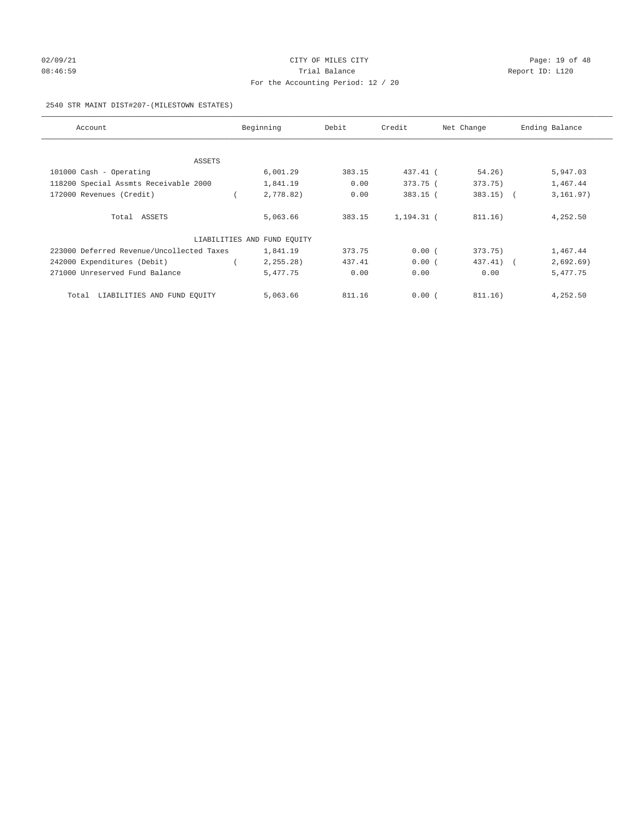# 02/09/21 CITY OF MILES CITY CHECK CITY CHECK CONTROL Page: 19 of 48 08:46:59 Report ID: L120 For the Accounting Period: 12 / 20

#### 2540 STR MAINT DIST#207-(MILESTOWN ESTATES)

| Account                                   | Beginning                   | Debit  | Credit     | Net Change  | Ending Balance |
|-------------------------------------------|-----------------------------|--------|------------|-------------|----------------|
|                                           |                             |        |            |             |                |
| ASSETS                                    |                             |        |            |             |                |
| 101000 Cash - Operating                   | 6,001.29                    | 383.15 | 437.41 (   | 54.26)      | 5,947.03       |
| 118200 Special Assmts Receivable 2000     | 1,841.19                    | 0.00   | 373.75 (   | 373.75)     | 1,467.44       |
| 172000 Revenues (Credit)                  | 2,778.82)                   | 0.00   | 383.15 (   | $383.15)$ ( | 3, 161.97)     |
| Total ASSETS                              | 5,063.66                    | 383.15 | 1,194.31 ( | 811.16)     | 4,252.50       |
|                                           | LIABILITIES AND FUND EQUITY |        |            |             |                |
| 223000 Deferred Revenue/Uncollected Taxes | 1,841.19                    | 373.75 | 0.00(      | 373.75)     | 1,467.44       |
| 242000 Expenditures (Debit)               | 2, 255.28                   | 437.41 | 0.00(      | 437.41) (   | 2,692.69)      |
| 271000 Unreserved Fund Balance            | 5,477.75                    | 0.00   | 0.00       | 0.00        | 5,477.75       |
| LIABILITIES AND FUND EQUITY<br>Total      | 5,063.66                    | 811.16 | 0.00(      | 811.16)     | 4,252.50       |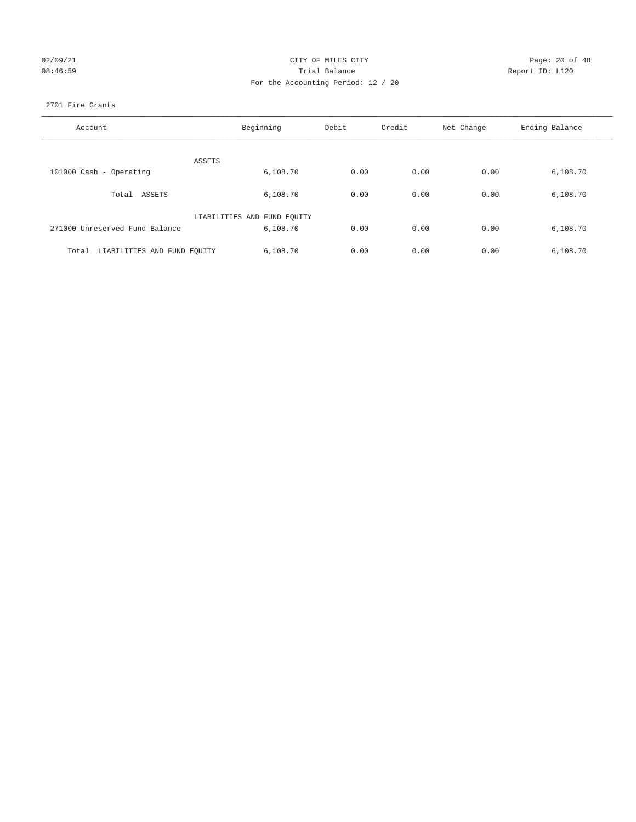| 02/09/21  |  |  |  |
|-----------|--|--|--|
| 0.8:46:59 |  |  |  |

## CITY OF MILES CITY Page: 20 of 48<br>Trial Balance Report ID: L120 08:46:59 **Trial Balance Constanting Trial Balance Report ID:** L120 For the Accounting Period: 12 / 20

## 2701 Fire Grants

| Account                              | Beginning                   | Debit | Credit | Net Change | Ending Balance |
|--------------------------------------|-----------------------------|-------|--------|------------|----------------|
| ASSETS                               |                             |       |        |            |                |
| 101000 Cash - Operating              | 6,108.70                    | 0.00  | 0.00   | 0.00       | 6,108.70       |
| Total ASSETS                         | 6,108.70                    | 0.00  | 0.00   | 0.00       | 6,108.70       |
|                                      | LIABILITIES AND FUND EQUITY |       |        |            |                |
| 271000 Unreserved Fund Balance       | 6,108.70                    | 0.00  | 0.00   | 0.00       | 6,108.70       |
| LIABILITIES AND FUND EQUITY<br>Total | 6.108.70                    | 0.00  | 0.00   | 0.00       | 6,108.70       |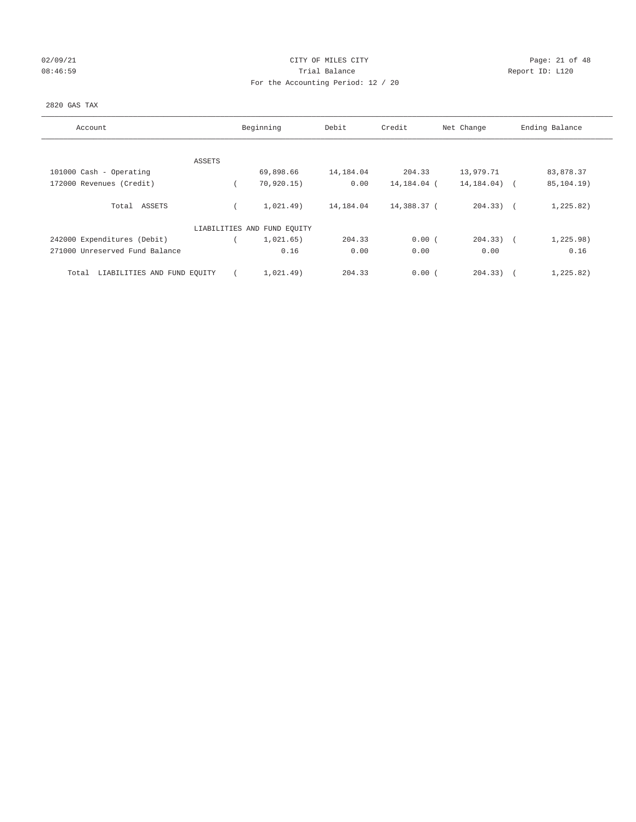## 02/09/21 CITY OF MILES CITY CHECK CITY CHECK CONTROL Page: 21 of 48 08:46:59 Report ID: L120 For the Accounting Period: 12 / 20

## 2820 GAS TAX

| Account                              |        | Beginning                   | Debit     | Credit      | Net Change   | Ending Balance      |
|--------------------------------------|--------|-----------------------------|-----------|-------------|--------------|---------------------|
|                                      |        |                             |           |             |              |                     |
|                                      | ASSETS |                             |           |             |              |                     |
| 101000 Cash - Operating              |        | 69,898.66                   | 14,184.04 | 204.33      | 13,979.71    | 83,878.37           |
| 172000 Revenues (Credit)             |        | 70,920.15)                  | 0.00      | 14,184.04 ( | 14, 184. 04) | 85,104.19)          |
| Total ASSETS                         |        | 1,021.49)                   | 14,184.04 | 14,388.37 ( | $204.33)$ (  | 1, 225.82)          |
|                                      |        | LIABILITIES AND FUND EQUITY |           |             |              |                     |
| 242000 Expenditures (Debit)          |        | 1,021.65)                   | 204.33    | 0.00(       | $204.33$ ) ( | 1,225.98)           |
| 271000 Unreserved Fund Balance       |        | 0.16                        | 0.00      | 0.00        | 0.00         | 0.16                |
| LIABILITIES AND FUND EQUITY<br>Total |        | 1,021.49)                   | 204.33    | 0.00(       | 204.33)      | 1,225.82)<br>$\sim$ |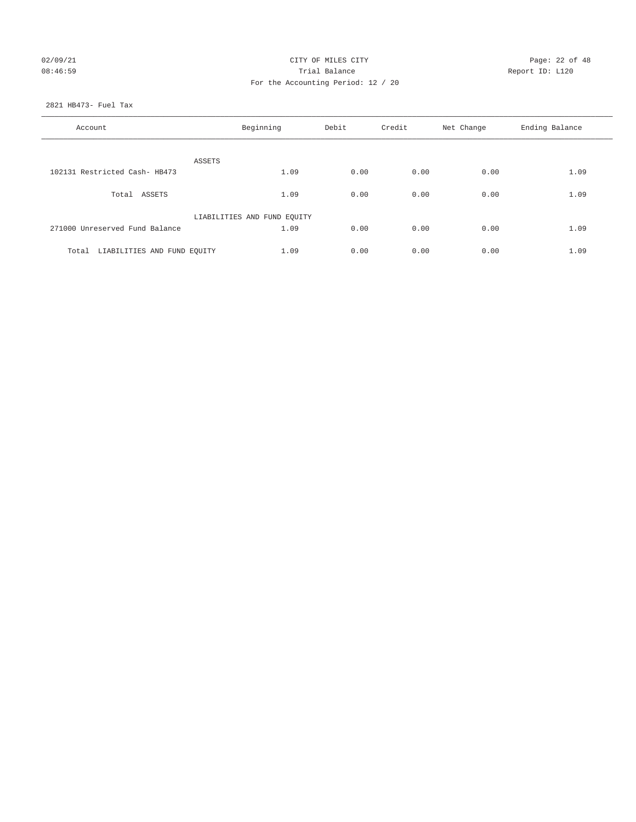## 02/09/21 CITY OF MILES CITY CHECK CONTROL Page: 22 of 48 08:46:59 Report ID: L120 For the Accounting Period: 12 / 20

2821 HB473- Fuel Tax

| Account                           | Beginning                   | Debit | Credit | Net Change | Ending Balance |
|-----------------------------------|-----------------------------|-------|--------|------------|----------------|
| ASSETS                            |                             |       |        |            |                |
| 102131 Restricted Cash- HB473     | 1.09                        | 0.00  | 0.00   | 0.00       | 1.09           |
| Total ASSETS                      | 1.09                        | 0.00  | 0.00   | 0.00       | 1.09           |
|                                   | LIABILITIES AND FUND EQUITY |       |        |            |                |
| 271000 Unreserved Fund Balance    | 1.09                        | 0.00  | 0.00   | 0.00       | 1.09           |
| Total LIABILITIES AND FUND EQUITY | 1.09                        | 0.00  | 0.00   | 0.00       | 1.09           |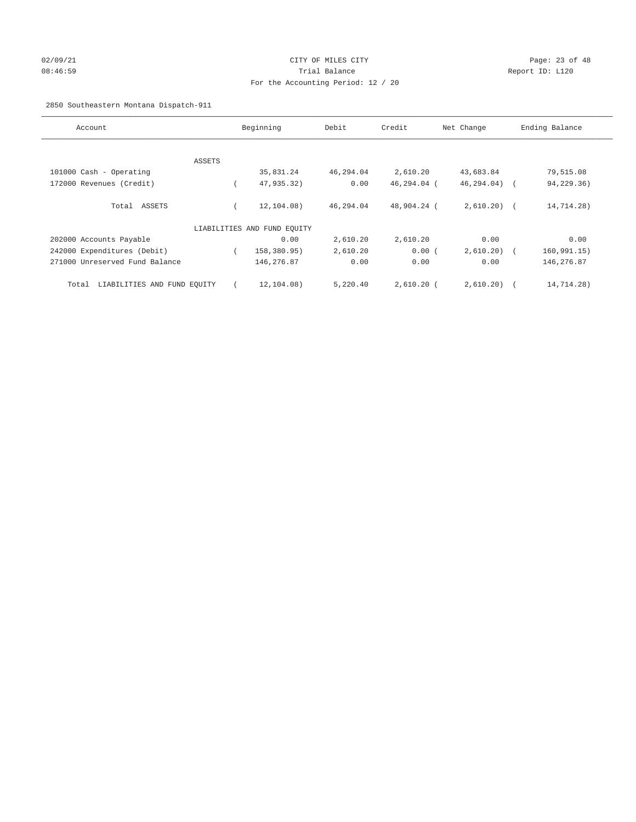## 02/09/21 Page: 23 of 48 08:46:59 Trial Balance Report ID: L120 For the Accounting Period: 12 / 20

2850 Southeastern Montana Dispatch-911

| Account                              |        | Beginning                   | Debit     | Credit       | Net Change   | Ending Balance           |
|--------------------------------------|--------|-----------------------------|-----------|--------------|--------------|--------------------------|
|                                      |        |                             |           |              |              |                          |
|                                      | ASSETS |                             |           |              |              |                          |
| 101000 Cash - Operating              |        | 35,831.24                   | 46,294.04 | 2,610.20     | 43,683.84    | 79,515.08                |
| 172000 Revenues (Credit)             |        | 47,935.32)                  | 0.00      | 46,294.04 (  | 46, 294.04)  | 94,229.36)<br>$\sqrt{2}$ |
| Total ASSETS                         |        | 12, 104.08)                 | 46,294.04 | 48,904.24 (  | $2,610.20$ ( | 14,714.28)               |
|                                      |        | LIABILITIES AND FUND EQUITY |           |              |              |                          |
| 202000 Accounts Payable              |        | 0.00                        | 2,610.20  | 2,610.20     | 0.00         | 0.00                     |
| 242000 Expenditures (Debit)          |        | 158,380.95)                 | 2,610.20  | 0.00(        | 2,610.20)    | 160, 991.15)             |
| 271000 Unreserved Fund Balance       |        | 146,276.87                  | 0.00      | 0.00         | 0.00         | 146,276.87               |
| LIABILITIES AND FUND EQUITY<br>Total |        | 12,104.08)                  | 5,220.40  | $2,610.20$ ( | 2,610.20)    | 14,714.28)               |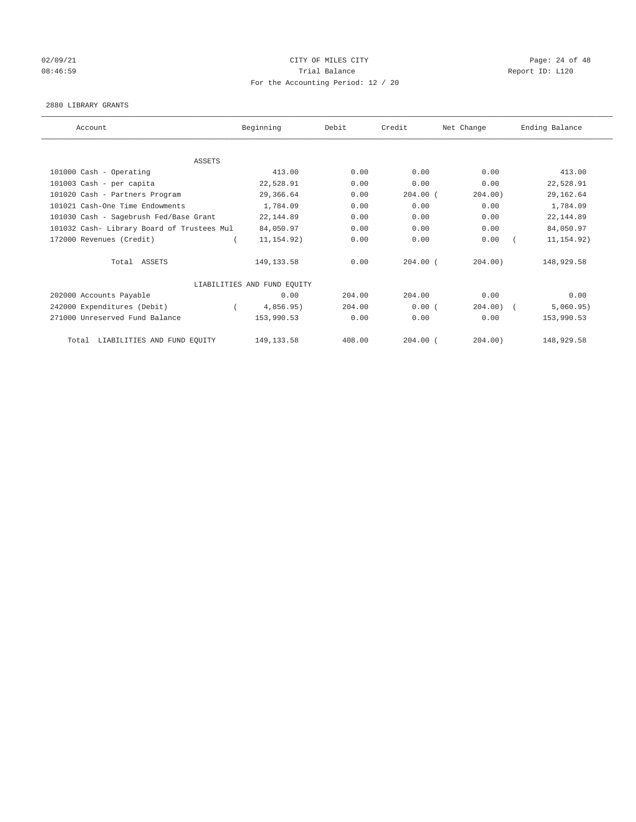# 02/09/21 CITY OF MILES CITY CHECK CONTROL Page: 24 of 48 08:46:59 Report ID: L120 For the Accounting Period: 12 / 20

#### 2880 LIBRARY GRANTS

| Account                                    | Beginning                   | Debit  | Credit       | Net Change | Ending Balance |
|--------------------------------------------|-----------------------------|--------|--------------|------------|----------------|
|                                            |                             |        |              |            |                |
| <b>ASSETS</b>                              |                             |        |              |            |                |
| 101000 Cash - Operating                    | 413.00                      | 0.00   | 0.00         | 0.00       | 413.00         |
| 101003 Cash - per capita                   | 22,528.91                   | 0.00   | 0.00         | 0.00       | 22,528.91      |
| 101020 Cash - Partners Program             | 29,366.64                   | 0.00   | $204.00$ (   | 204.00     | 29, 162.64     |
| 101021 Cash-One Time Endowments            | 1,784.09                    | 0.00   | 0.00         | 0.00       | 1,784.09       |
| 101030 Cash - Sagebrush Fed/Base Grant     | 22, 144.89                  | 0.00   | 0.00         | 0.00       | 22, 144.89     |
| 101032 Cash- Library Board of Trustees Mul | 84,050.97                   | 0.00   | 0.00         | 0.00       | 84,050.97      |
| 172000 Revenues (Credit)                   | 11, 154.92)                 | 0.00   | 0.00         | 0.00       | 11, 154.92)    |
| Total ASSETS                               | 149, 133.58                 | 0.00   | $204.00$ $($ | 204.00     | 148,929.58     |
|                                            | LIABILITIES AND FUND EQUITY |        |              |            |                |
| 202000 Accounts Payable                    | 0.00                        | 204.00 | 204.00       | 0.00       | 0.00           |
| 242000 Expenditures (Debit)                | 4,856.95)                   | 204.00 | 0.00(        | 204.00     | 5,060.95)      |
| 271000 Unreserved Fund Balance             | 153,990.53                  | 0.00   | 0.00         | 0.00       | 153,990.53     |
| LIABILITIES AND FUND EQUITY<br>Total       | 149, 133.58                 | 408.00 | $204.00$ $($ | 204.00)    | 148,929.58     |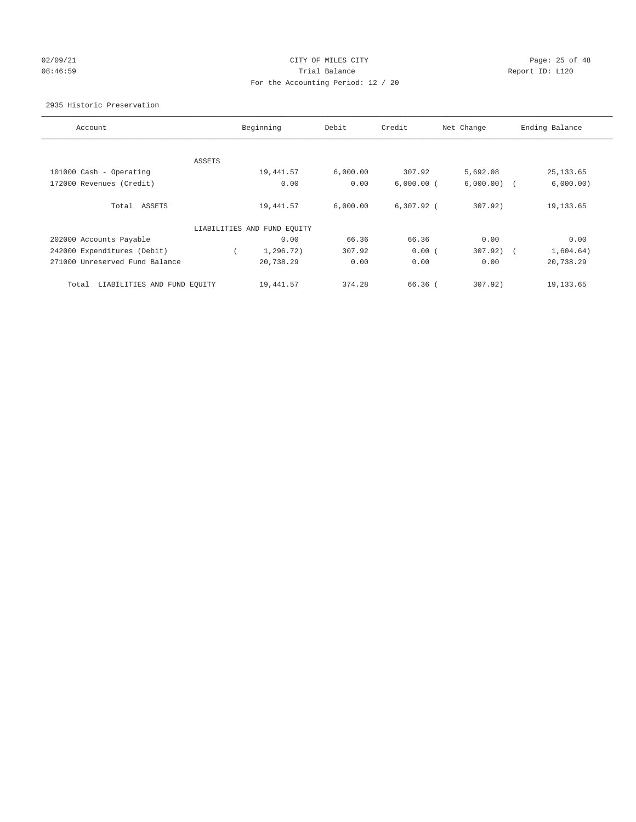## 02/09/21 CITY OF MILES CITY CHECK CONTROL Page: 25 of 48 08:46:59 Report ID: L120 For the Accounting Period: 12 / 20

## 2935 Historic Preservation

| Account                              |        | Beginning                   | Debit    | Credit       | Net Change | Ending Balance          |
|--------------------------------------|--------|-----------------------------|----------|--------------|------------|-------------------------|
|                                      |        |                             |          |              |            |                         |
|                                      | ASSETS |                             |          |              |            |                         |
| 101000 Cash - Operating              |        | 19,441.57                   | 6,000.00 | 307.92       | 5,692.08   | 25, 133.65              |
| 172000 Revenues (Credit)             |        | 0.00                        | 0.00     | $6,000.00$ ( | 6,000.00)  | 6,000.00)               |
| Total ASSETS                         |        | 19,441.57                   | 6,000.00 | $6,307.92$ ( | 307.92     | 19, 133.65              |
|                                      |        | LIABILITIES AND FUND EQUITY |          |              |            |                         |
| 202000 Accounts Payable              |        | 0.00                        | 66.36    | 66.36        | 0.00       | 0.00                    |
| 242000 Expenditures (Debit)          |        | 1,296.72)                   | 307.92   | 0.00(        | 307.92     | 1,604.64)<br>$\sqrt{2}$ |
| 271000 Unreserved Fund Balance       |        | 20,738.29                   | 0.00     | 0.00         | 0.00       | 20,738.29               |
| LIABILITIES AND FUND EQUITY<br>Total |        | 19,441.57                   | 374.28   | 66.36 (      | 307.92)    | 19, 133.65              |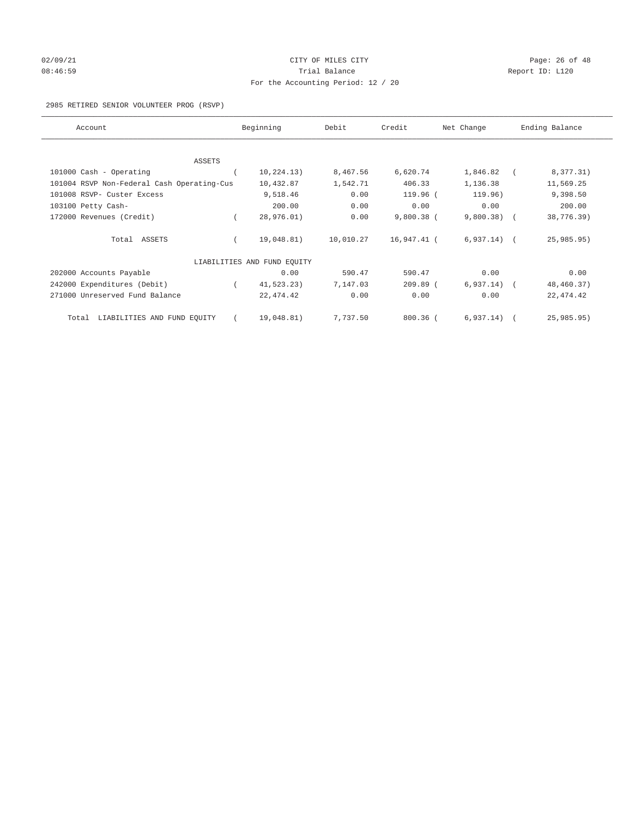## $O(2/09/21$  Page: 26 of 48 08:46:59 Report ID: L120 For the Accounting Period: 12 / 20

## 2985 RETIRED SENIOR VOLUNTEER PROG (RSVP)

| Account                                    | Beginning                   | Debit     | Credit       | Net Change    | Ending Balance |
|--------------------------------------------|-----------------------------|-----------|--------------|---------------|----------------|
|                                            |                             |           |              |               |                |
| ASSETS                                     |                             |           |              |               |                |
| 101000 Cash - Operating                    | 10, 224.13)                 | 8,467.56  | 6,620.74     | 1,846.82      | 8,377.31)      |
| 101004 RSVP Non-Federal Cash Operating-Cus | 10,432.87                   | 1,542.71  | 406.33       | 1,136.38      | 11,569.25      |
| 101008 RSVP- Custer Excess                 | 9,518.46                    | 0.00      | 119.96 (     | 119.96)       | 9,398.50       |
| 103100 Petty Cash-                         | 200.00                      | 0.00      | 0.00         | 0.00          | 200.00         |
| 172000 Revenues (Credit)                   | 28,976.01)                  | 0.00      | $9,800.38$ ( | 9,800.38)     | 38,776.39)     |
| Total ASSETS                               | 19,048.81)                  | 10,010.27 | 16,947.41 (  | $6,937.14)$ ( | 25,985.95)     |
|                                            | LIABILITIES AND FUND EQUITY |           |              |               |                |
| 202000 Accounts Payable                    | 0.00                        | 590.47    | 590.47       | 0.00          | 0.00           |
| 242000 Expenditures (Debit)                | 41, 523.23)                 | 7,147.03  | $209.89$ (   | 6, 937.14)    | 48,460.37)     |
| 271000 Unreserved Fund Balance             | 22, 474.42                  | 0.00      | 0.00         | 0.00          | 22, 474.42     |
| LIABILITIES AND FUND EQUITY<br>Total       | 19,048.81)                  | 7,737.50  | $800.36$ (   | 6, 937.14)    | 25,985.95)     |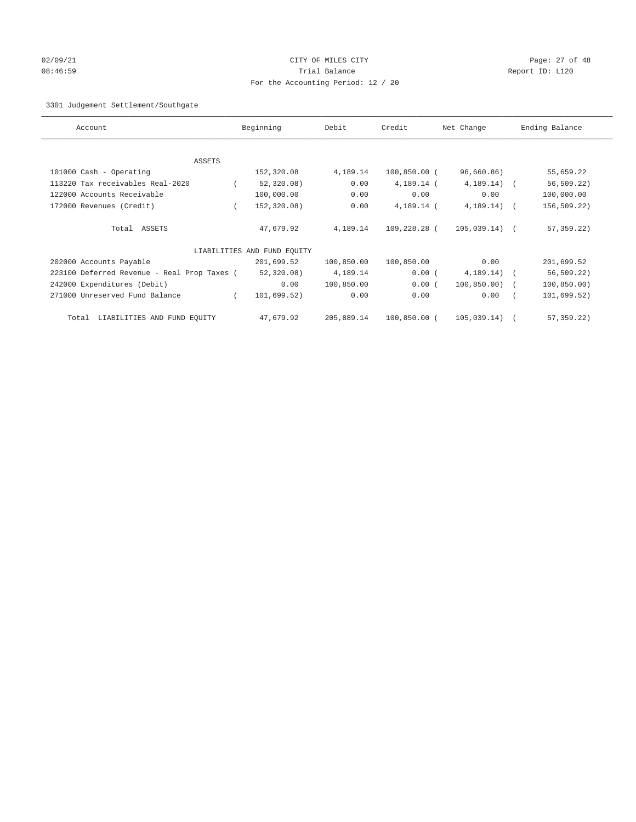## 02/09/21 Page: 27 of 48 08:46:59 Trial Balance Report ID: L120 For the Accounting Period: 12 / 20

## 3301 Judgement Settlement/Southgate

| Account                                     | Beginning                   | Debit      | Credit         | Net Change      | Ending Balance |
|---------------------------------------------|-----------------------------|------------|----------------|-----------------|----------------|
|                                             |                             |            |                |                 |                |
|                                             |                             |            |                |                 |                |
| <b>ASSETS</b>                               |                             |            |                |                 |                |
| 101000 Cash - Operating                     | 152,320.08                  | 4,189.14   | $100,850.00$ ( | 96,660.86)      | 55,659.22      |
| 113220 Tax receivables Real-2020            | 52, 320.08)                 | 0.00       | 4,189.14 (     | 4, 189.14)      | $56, 509.22$ ) |
| 122000 Accounts Receivable                  | 100,000.00                  | 0.00       | 0.00           | 0.00            | 100,000.00     |
| 172000 Revenues (Credit)                    | 152,320.08)                 | 0.00       | 4,189.14 (     | 4, 189.14)      | 156,509.22)    |
|                                             |                             |            |                |                 |                |
| Total ASSETS                                | 47,679.92                   | 4,189.14   | 109,228.28 (   | $105,039.14)$ ( | $57, 359.22$ ) |
|                                             |                             |            |                |                 |                |
|                                             | LIABILITIES AND FUND EQUITY |            |                |                 |                |
| 202000 Accounts Payable                     | 201,699.52                  | 100,850.00 | 100,850.00     | 0.00            | 201,699.52     |
| 223100 Deferred Revenue - Real Prop Taxes ( | 52, 320.08)                 | 4,189.14   | 0.00(          | 4, 189.14)      | 56, 509.22     |
| 242000 Expenditures (Debit)                 | 0.00                        | 100,850.00 | 0.00(          | 100, 850.00)    | 100, 850.00)   |
| 271000 Unreserved Fund Balance              | 101,699.52)                 | 0.00       | 0.00           | 0.00            | 101,699.52)    |
|                                             |                             |            |                |                 |                |
| LIABILITIES AND FUND EQUITY<br>Total        | 47,679.92                   | 205,889.14 | 100,850.00 (   | 105,039.14)     | 57, 359. 22)   |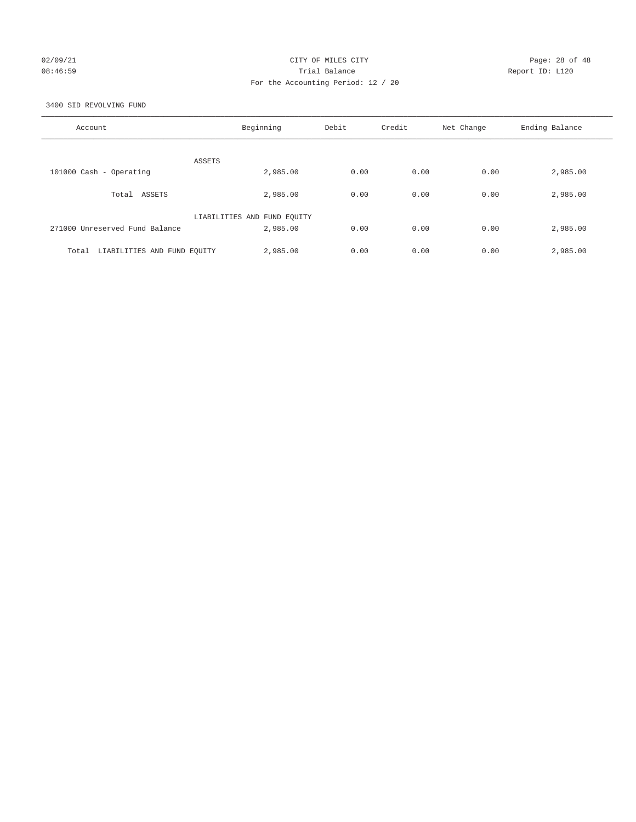## 02/09/21 CITY OF MILES CITY CHECK CONTROL Page: 28 of 48 08:46:59 Report ID: L120 For the Accounting Period: 12 / 20

3400 SID REVOLVING FUND

| Account                              | Beginning                   | Debit | Credit | Net Change | Ending Balance |
|--------------------------------------|-----------------------------|-------|--------|------------|----------------|
| ASSETS                               |                             |       |        |            |                |
| 101000 Cash - Operating              | 2,985.00                    | 0.00  | 0.00   | 0.00       | 2,985.00       |
| Total ASSETS                         | 2,985.00                    | 0.00  | 0.00   | 0.00       | 2,985.00       |
|                                      | LIABILITIES AND FUND EQUITY |       |        |            |                |
| 271000 Unreserved Fund Balance       | 2,985.00                    | 0.00  | 0.00   | 0.00       | 2,985.00       |
| LIABILITIES AND FUND EQUITY<br>Total | 2,985.00                    | 0.00  | 0.00   | 0.00       | 2,985.00       |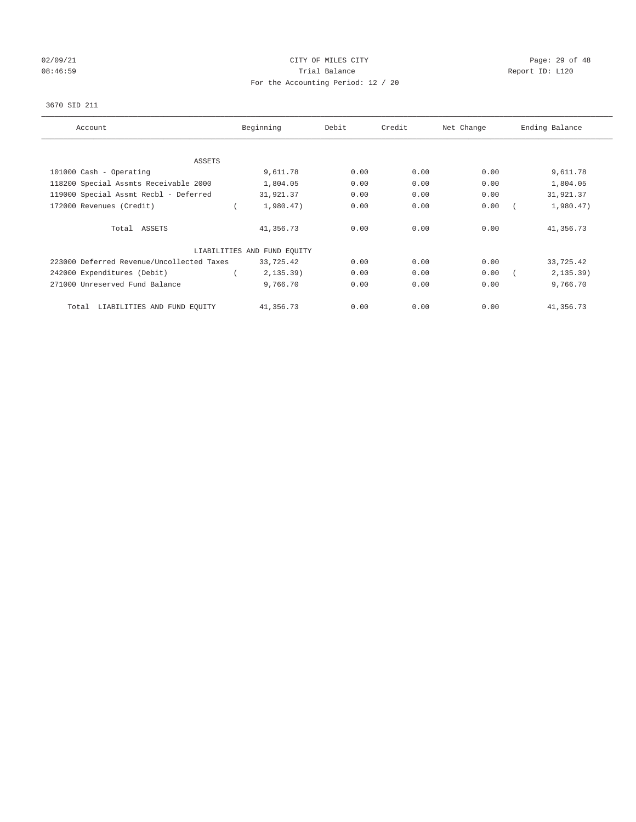# 02/09/21 CITY OF MILES CITY CHECK CONTROL Page: 29 of 48 08:46:59 Report ID: L120 For the Accounting Period: 12 / 20

## 3670 SID 211

| Account                                   | Beginning                   | Debit | Credit | Net Change | Ending Balance |
|-------------------------------------------|-----------------------------|-------|--------|------------|----------------|
| ASSETS                                    |                             |       |        |            |                |
| 101000 Cash - Operating                   | 9,611.78                    | 0.00  | 0.00   | 0.00       | 9,611.78       |
| 118200 Special Assmts Receivable 2000     | 1,804.05                    | 0.00  | 0.00   | 0.00       | 1,804.05       |
| 119000 Special Assmt Recbl - Deferred     | 31,921.37                   | 0.00  | 0.00   | 0.00       | 31,921.37      |
| 172000 Revenues (Credit)                  | 1,980.47)                   | 0.00  | 0.00   | 0.00       | 1,980.47)      |
| Total ASSETS                              | 41,356.73                   | 0.00  | 0.00   | 0.00       | 41,356.73      |
|                                           | LIABILITIES AND FUND EQUITY |       |        |            |                |
| 223000 Deferred Revenue/Uncollected Taxes | 33,725.42                   | 0.00  | 0.00   | 0.00       | 33,725.42      |
| 242000 Expenditures (Debit)               | 2, 135.39)                  | 0.00  | 0.00   | 0.00       | 2, 135.39)     |
| 271000 Unreserved Fund Balance            | 9,766.70                    | 0.00  | 0.00   | 0.00       | 9,766.70       |
| LIABILITIES AND FUND EQUITY<br>Total      | 41,356.73                   | 0.00  | 0.00   | 0.00       | 41,356.73      |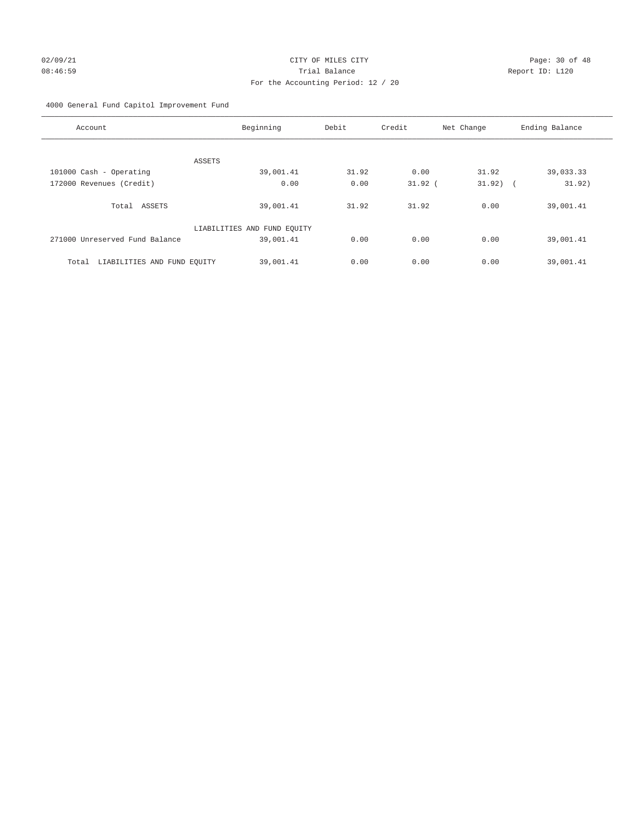## 02/09/21 Page: 30 of 48 08:46:59 Trial Balance Report ID: L120 For the Accounting Period: 12 / 20

4000 General Fund Capitol Improvement Fund

| Account                              | Beginning                   | Debit | Credit    | Net Change           | Ending Balance |
|--------------------------------------|-----------------------------|-------|-----------|----------------------|----------------|
|                                      |                             |       |           |                      |                |
|                                      | ASSETS                      |       |           |                      |                |
| 101000 Cash - Operating              | 39,001.41                   | 31.92 | 0.00      | 31.92                | 39,033.33      |
| 172000 Revenues (Credit)             | 0.00                        | 0.00  | $31.92$ ( | 31.92)<br>$\sqrt{2}$ | 31.92)         |
|                                      |                             |       |           |                      |                |
| Total ASSETS                         | 39,001.41                   | 31.92 | 31.92     | 0.00                 | 39,001.41      |
|                                      |                             |       |           |                      |                |
|                                      | LIABILITIES AND FUND EQUITY |       |           |                      |                |
| 271000 Unreserved Fund Balance       | 39,001.41                   | 0.00  | 0.00      | 0.00                 | 39,001.41      |
|                                      |                             |       |           |                      |                |
| LIABILITIES AND FUND EQUITY<br>Total | 39,001.41                   | 0.00  | 0.00      | 0.00                 | 39,001.41      |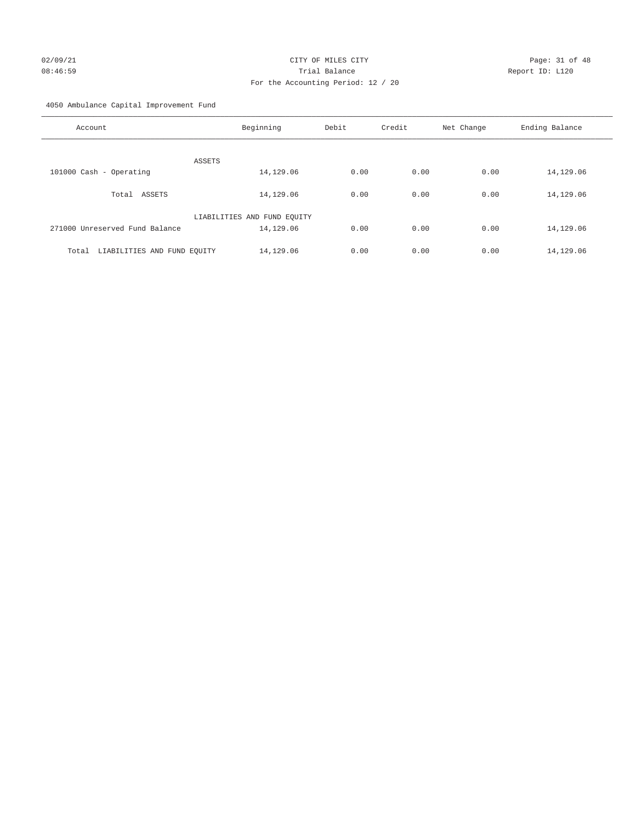# 02/09/21 CITY OF MILES CITY CHECK CITY CHECK CONTROL Page: 31 of 48 08:46:59 Report ID: L120 For the Accounting Period: 12 / 20

4050 Ambulance Capital Improvement Fund

| Account                              | Beginning                   | Debit | Credit | Net Change | Ending Balance |
|--------------------------------------|-----------------------------|-------|--------|------------|----------------|
| ASSETS                               |                             |       |        |            |                |
| 101000 Cash - Operating              | 14,129.06                   | 0.00  | 0.00   | 0.00       | 14,129.06      |
| Total ASSETS                         | 14,129.06                   | 0.00  | 0.00   | 0.00       | 14,129.06      |
|                                      | LIABILITIES AND FUND EQUITY |       |        |            |                |
| 271000 Unreserved Fund Balance       | 14,129.06                   | 0.00  | 0.00   | 0.00       | 14,129.06      |
| LIABILITIES AND FUND EQUITY<br>Total | 14,129.06                   | 0.00  | 0.00   | 0.00       | 14,129.06      |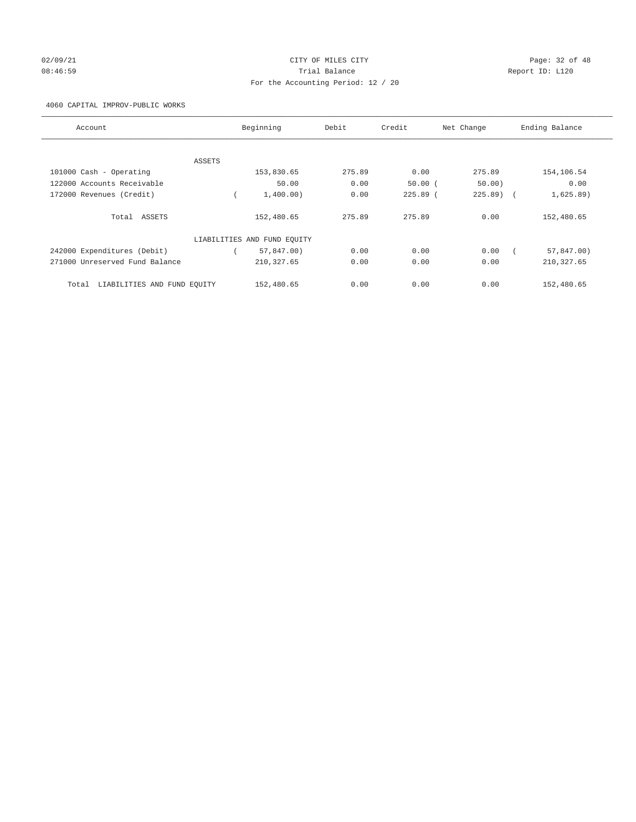## 02/09/21 Page: 32 of 48 08:46:59 Report ID: L120 For the Accounting Period: 12 / 20

4060 CAPITAL IMPROV-PUBLIC WORKS

| Account                              |        | Beginning                   | Debit  | Credit     | Net Change | Ending Balance          |
|--------------------------------------|--------|-----------------------------|--------|------------|------------|-------------------------|
|                                      |        |                             |        |            |            |                         |
|                                      | ASSETS |                             |        |            |            |                         |
| 101000 Cash - Operating              |        | 153,830.65                  | 275.89 | 0.00       | 275.89     | 154,106.54              |
| 122000 Accounts Receivable           |        | 50.00                       | 0.00   | 50.00(     | 50.00      | 0.00                    |
| 172000 Revenues (Credit)             |        | 1,400.00)                   | 0.00   | $225.89$ ( | 225.89)    | 1,625.89)<br>$\sqrt{2}$ |
| Total ASSETS                         |        | 152,480.65                  | 275.89 | 275.89     | 0.00       | 152,480.65              |
|                                      |        | LIABILITIES AND FUND EQUITY |        |            |            |                         |
| 242000 Expenditures (Debit)          |        | 57,847.00)                  | 0.00   | 0.00       | 0.00       | 57,847.00)              |
| 271000 Unreserved Fund Balance       |        | 210, 327.65                 | 0.00   | 0.00       | 0.00       | 210, 327.65             |
| LIABILITIES AND FUND EOUITY<br>Total |        | 152,480.65                  | 0.00   | 0.00       | 0.00       | 152,480.65              |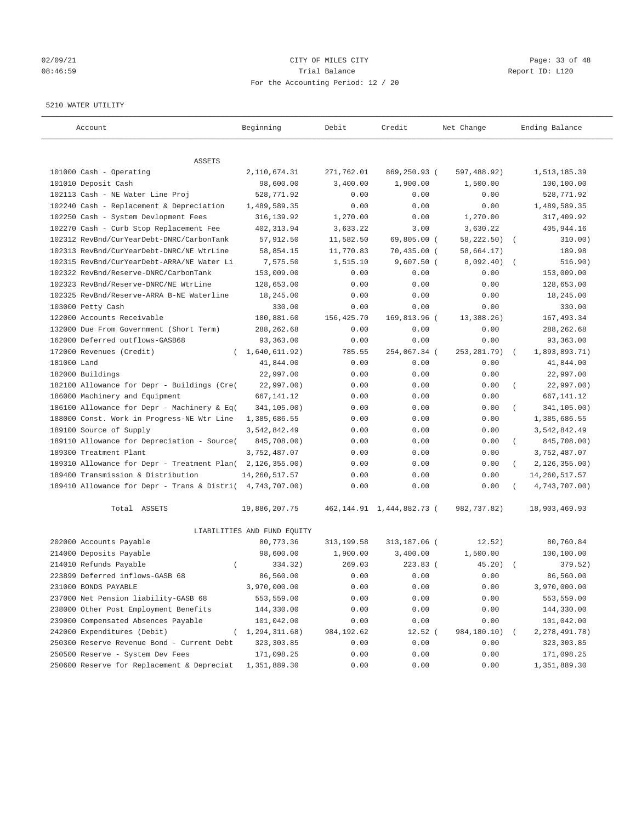# 02/09/21 CITY OF MILES CITY CHECK CITY CHECK CONTROL Page: 33 of 48 08:46:59 Report ID: L120 For the Accounting Period: 12 / 20

## 5210 WATER UTILITY

| Account                                                   | Beginning                   | Debit       | Credit                         | Net Change   | Ending Balance              |
|-----------------------------------------------------------|-----------------------------|-------------|--------------------------------|--------------|-----------------------------|
| ASSETS                                                    |                             |             |                                |              |                             |
| 101000 Cash - Operating                                   | 2,110,674.31                | 271,762.01  | 869,250.93 (                   | 597,488.92)  | 1,513,185.39                |
| 101010 Deposit Cash                                       | 98,600.00                   | 3,400.00    | 1,900.00                       | 1,500.00     | 100,100.00                  |
| 102113 Cash - NE Water Line Proj                          | 528,771.92                  | 0.00        | 0.00                           | 0.00         | 528,771.92                  |
| 102240 Cash - Replacement & Depreciation                  | 1,489,589.35                | 0.00        | 0.00                           | 0.00         | 1,489,589.35                |
| 102250 Cash - System Devlopment Fees                      | 316, 139.92                 | 1,270.00    | 0.00                           | 1,270.00     | 317,409.92                  |
| 102270 Cash - Curb Stop Replacement Fee                   | 402,313.94                  | 3,633.22    | 3.00                           | 3,630.22     | 405,944.16                  |
| 102312 RevBnd/CurYearDebt-DNRC/CarbonTank                 | 57,912.50                   | 11,582.50   | 69,805.00 (                    | 58,222.50) ( | 310.00)                     |
| 102313 RevBnd/CurYearDebt-DNRC/NE WtrLine                 | 58,854.15                   | 11,770.83   | $70,435.00$ (                  | 58,664.17)   | 189.98                      |
| 102315 RevBnd/CurYearDebt-ARRA/NE Water Li                | 7,575.50                    | 1,515.10    | $9,607.50$ (                   | 8,092.40)    | 516.90)                     |
| 102322 RevBnd/Reserve-DNRC/CarbonTank                     | 153,009.00                  | 0.00        | 0.00                           | 0.00         | 153,009.00                  |
| 102323 RevBnd/Reserve-DNRC/NE WtrLine                     | 128,653.00                  | 0.00        | 0.00                           | 0.00         | 128,653.00                  |
| 102325 RevBnd/Reserve-ARRA B-NE Waterline                 | 18,245.00                   | 0.00        | 0.00                           | 0.00         | 18,245.00                   |
| 103000 Petty Cash                                         | 330.00                      | 0.00        | 0.00                           | 0.00         | 330.00                      |
| 122000 Accounts Receivable                                | 180,881.60                  | 156,425.70  | 169,813.96 (                   | 13,388.26)   | 167, 493.34                 |
| 132000 Due From Government (Short Term)                   | 288, 262.68                 | 0.00        | 0.00                           | 0.00         | 288, 262.68                 |
| 162000 Deferred outflows-GASB68                           | 93,363.00                   | 0.00        | 0.00                           | 0.00         | 93,363.00                   |
| 172000 Revenues (Credit)<br>$\left($                      | 1,640,611.92)               | 785.55      | 254,067.34 (                   | 253, 281.79) | 1,893,893.71)<br>$\sqrt{2}$ |
| 181000 Land                                               | 41,844.00                   | 0.00        | 0.00                           | 0.00         | 41,844.00                   |
| 182000 Buildings                                          | 22,997.00                   | 0.00        | 0.00                           | 0.00         | 22,997.00                   |
| 182100 Allowance for Depr - Buildings (Cre(               | 22,997.00)                  | 0.00        | 0.00                           | 0.00         | 22,997.00)                  |
| 186000 Machinery and Equipment                            | 667,141.12                  | 0.00        | 0.00                           | 0.00         | 667, 141. 12                |
| 186100 Allowance for Depr - Machinery & Eq(               | 341,105.00)                 | 0.00        | 0.00                           | 0.00         | 341,105.00)                 |
| 188000 Const. Work in Progress-NE Wtr Line                | 1,385,686.55                | 0.00        | 0.00                           | 0.00         | 1,385,686.55                |
| 189100 Source of Supply                                   | 3,542,842.49                | 0.00        | 0.00                           | 0.00         | 3,542,842.49                |
| 189110 Allowance for Depreciation - Source(               | 845,708.00)                 | 0.00        | 0.00                           | 0.00         | 845,708.00)                 |
| 189300 Treatment Plant                                    | 3,752,487.07                | 0.00        | 0.00                           | 0.00         | 3,752,487.07                |
| 189310 Allowance for Depr - Treatment Plan(               | 2, 126, 355.00              | 0.00        | 0.00                           | 0.00         | 2,126,355.00)<br>$\left($   |
| 189400 Transmission & Distribution                        | 14, 260, 517.57             | 0.00        | 0.00                           | 0.00         | 14, 260, 517.57             |
| 189410 Allowance for Depr - Trans & Distri( 4,743,707.00) |                             | 0.00        | 0.00                           | 0.00         | 4,743,707.00)               |
| Total ASSETS                                              | 19,886,207.75               |             | 462, 144. 91 1, 444, 882. 73 ( | 982,737.82)  | 18,903,469.93               |
|                                                           | LIABILITIES AND FUND EQUITY |             |                                |              |                             |
| 202000 Accounts Payable                                   | 80,773.36                   | 313, 199.58 | 313,187.06 (                   | 12.52)       | 80,760.84                   |
| 214000 Deposits Payable                                   | 98,600.00                   | 1,900.00    | 3,400.00                       | 1,500.00     | 100,100.00                  |
| 214010 Refunds Payable<br>$\left($                        | 334.32)                     | 269.03      | $223.83$ (                     | 45.20)       | 379.52)                     |
| 223899 Deferred inflows-GASB 68                           | 86,560.00                   | 0.00        | 0.00                           | 0.00         | 86,560.00                   |
| 231000 BONDS PAYABLE                                      | 3,970,000.00                | 0.00        | 0.00                           | 0.00         | 3,970,000.00                |
| 237000 Net Pension liability-GASB 68                      | 553,559.00                  | 0.00        | 0.00                           | 0.00         | 553,559.00                  |
| 238000 Other Post Employment Benefits                     | 144,330.00                  | 0.00        | 0.00                           | 0.00         | 144,330.00                  |
| 239000 Compensated Absences Payable                       | 101,042.00                  | 0.00        | 0.00                           | 0.00         | 101,042.00                  |
| 242000 Expenditures (Debit)                               | (1, 294, 311.68)            | 984, 192.62 | $12.52$ (                      | 984,180.10)  | 2, 278, 491. 78)            |
| 250300 Reserve Revenue Bond - Current Debt                | 323, 303.85                 | 0.00        | 0.00                           | 0.00         | 323, 303.85                 |
| 250500 Reserve - System Dev Fees                          | 171,098.25                  | 0.00        | 0.00                           | 0.00         | 171,098.25                  |
| 250600 Reserve for Replacement & Depreciat                | 1,351,889.30                | 0.00        | 0.00                           | 0.00         | 1,351,889.30                |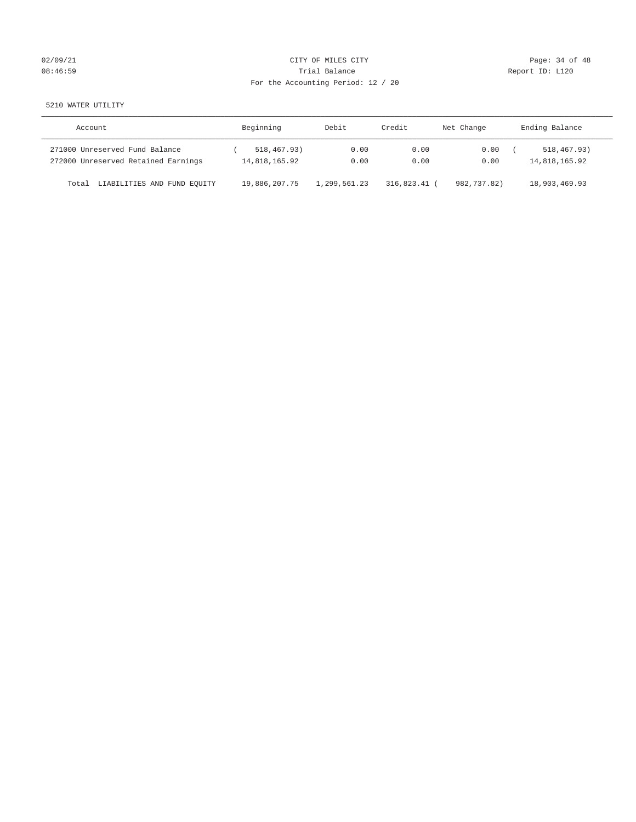# 02/09/21 CITY OF MILES CITY CHECK CONTROL Page: 34 of 48 08:46:59 Report ID: L120 For the Accounting Period: 12 / 20

5210 WATER UTILITY

| Account                                                               | Beginning                    | Debit.       | Credit       | Net Change   | Ending Balance               |
|-----------------------------------------------------------------------|------------------------------|--------------|--------------|--------------|------------------------------|
| 271000 Unreserved Fund Balance<br>272000 Unreserved Retained Earnings | 518,467.93)<br>14,818,165.92 | 0.00<br>0.00 | 0.00<br>0.00 | 0.00<br>0.00 | 518,467.93)<br>14,818,165.92 |
| LIABILITIES AND FUND EQUITY<br>Total                                  | 19,886,207.75                | 1,299,561.23 | 316,823.41   | 982,737.82)  | 18,903,469.93                |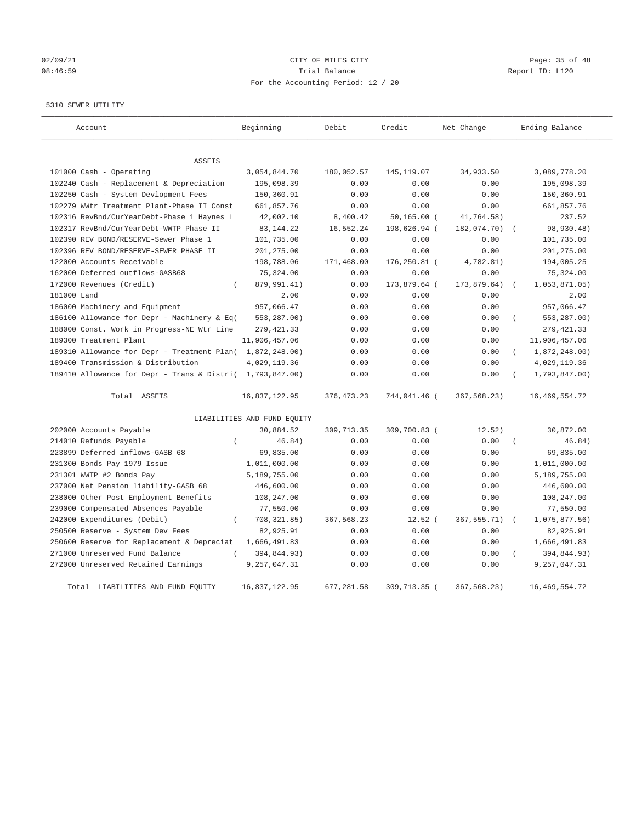# 02/09/21 CITY OF MILES CITY CHECK CITY CHECK CONTROL Page: 35 of 48 08:46:59 Report ID: L120 For the Accounting Period: 12 / 20

5310 SEWER UTILITY

| Account                                                   | Beginning                   | Debit       | Credit         | Net Change    | Ending Balance                  |
|-----------------------------------------------------------|-----------------------------|-------------|----------------|---------------|---------------------------------|
| <b>ASSETS</b>                                             |                             |             |                |               |                                 |
| 101000 Cash - Operating                                   | 3,054,844.70                | 180,052.57  | 145, 119.07    | 34,933.50     | 3,089,778.20                    |
| 102240 Cash - Replacement & Depreciation                  | 195,098.39                  | 0.00        | 0.00           | 0.00          | 195,098.39                      |
| 102250 Cash - System Devlopment Fees                      | 150,360.91                  | 0.00        | 0.00           | 0.00          | 150,360.91                      |
| 102279 WWtr Treatment Plant-Phase II Const                | 661,857.76                  | 0.00        | 0.00           | 0.00          | 661,857.76                      |
| 102316 RevBnd/CurYearDebt-Phase 1 Haynes L                | 42,002.10                   | 8,400.42    | $50, 165.00$ ( | 41,764.58)    | 237.52                          |
| 102317 RevBnd/CurYearDebt-WWTP Phase II                   | 83, 144. 22                 | 16,552.24   | 198,626.94 (   | 182,074.70)   | 98,930.48)                      |
| 102390 REV BOND/RESERVE-Sewer Phase 1                     | 101,735.00                  | 0.00        | 0.00           | 0.00          | 101,735.00                      |
| 102396 REV BOND/RESERVE-SEWER PHASE II                    | 201,275.00                  | 0.00        | 0.00           | 0.00          | 201,275.00                      |
| 122000 Accounts Receivable                                | 198,788.06                  | 171,468.00  | 176,250.81 (   | 4,782.81)     | 194,005.25                      |
| 162000 Deferred outflows-GASB68                           | 75,324.00                   | 0.00        | 0.00           | 0.00          | 75,324.00                       |
| 172000 Revenues (Credit)<br>$\left($                      | 879,991.41)                 | 0.00        | 173,879.64 (   | 173,879.64)   | 1,053,871.05                    |
| 181000 Land                                               | 2.00                        | 0.00        | 0.00           | 0.00          | 2.00                            |
| 186000 Machinery and Equipment                            | 957,066.47                  | 0.00        | 0.00           | 0.00          | 957,066.47                      |
| 186100 Allowance for Depr - Machinery & Eq(               | 553,287.00)                 | 0.00        | 0.00           | 0.00          | 553,287.00)<br>$\overline{(\ }$ |
| 188000 Const. Work in Progress-NE Wtr Line                | 279, 421.33                 | 0.00        | 0.00           | 0.00          | 279, 421.33                     |
| 189300 Treatment Plant                                    | 11,906,457.06               | 0.00        | 0.00           | 0.00          | 11,906,457.06                   |
| 189310 Allowance for Depr - Treatment Plan( 1,872,248.00) |                             | 0.00        | 0.00           | 0.00          | 1,872,248.00)                   |
| 189400 Transmission & Distribution                        | 4,029,119.36                | 0.00        | 0.00           | 0.00          | 4,029,119.36                    |
| 189410 Allowance for Depr - Trans & Distri(               | 1,793,847.00)               | 0.00        | 0.00           | 0.00          | 1,793,847.00)                   |
| Total ASSETS                                              | 16,837,122.95               | 376, 473.23 | 744,041.46 (   | 367,568.23)   | 16, 469, 554.72                 |
|                                                           | LIABILITIES AND FUND EQUITY |             |                |               |                                 |
| 202000 Accounts Payable                                   | 30,884.52                   | 309,713.35  | 309,700.83 (   | 12.52)        | 30,872.00                       |
| 214010 Refunds Payable<br>$\left($                        | 46.84)                      | 0.00        | 0.00           | 0.00          | 46.84)                          |
| 223899 Deferred inflows-GASB 68                           | 69,835.00                   | 0.00        | 0.00           | 0.00          | 69,835.00                       |
| 231300 Bonds Pay 1979 Issue                               | 1,011,000.00                | 0.00        | 0.00           | 0.00          | 1,011,000.00                    |
| 231301 WWTP #2 Bonds Pay                                  | 5,189,755.00                | 0.00        | 0.00           | 0.00          | 5,189,755.00                    |
| 237000 Net Pension liability-GASB 68                      | 446,600.00                  | 0.00        | 0.00           | 0.00          | 446,600.00                      |
| 238000 Other Post Employment Benefits                     | 108,247.00                  | 0.00        | 0.00           | 0.00          | 108,247.00                      |
| 239000 Compensated Absences Payable                       | 77,550.00                   | 0.00        | 0.00           | 0.00          | 77,550.00                       |
| 242000 Expenditures (Debit)                               | 708, 321.85)<br>$\left($    | 367,568.23  | $12.52$ (      | 367, 555. 71) | 1,075,877.56)<br>$\sqrt{2}$     |
| 250500 Reserve - System Dev Fees                          | 82,925.91                   | 0.00        | 0.00           | 0.00          | 82,925.91                       |
| 250600 Reserve for Replacement & Depreciat                | 1,666,491.83                | 0.00        | 0.00           | 0.00          | 1,666,491.83                    |
| 271000 Unreserved Fund Balance                            | 394,844.93)                 | 0.00        | 0.00           | 0.00          | 394,844.93)                     |
| 272000 Unreserved Retained Earnings                       | 9,257,047.31                | 0.00        | 0.00           | 0.00          | 9,257,047.31                    |
| Total LIABILITIES AND FUND EQUITY                         | 16,837,122.95               | 677,281.58  | 309,713.35 (   | 367,568.23)   | 16, 469, 554. 72                |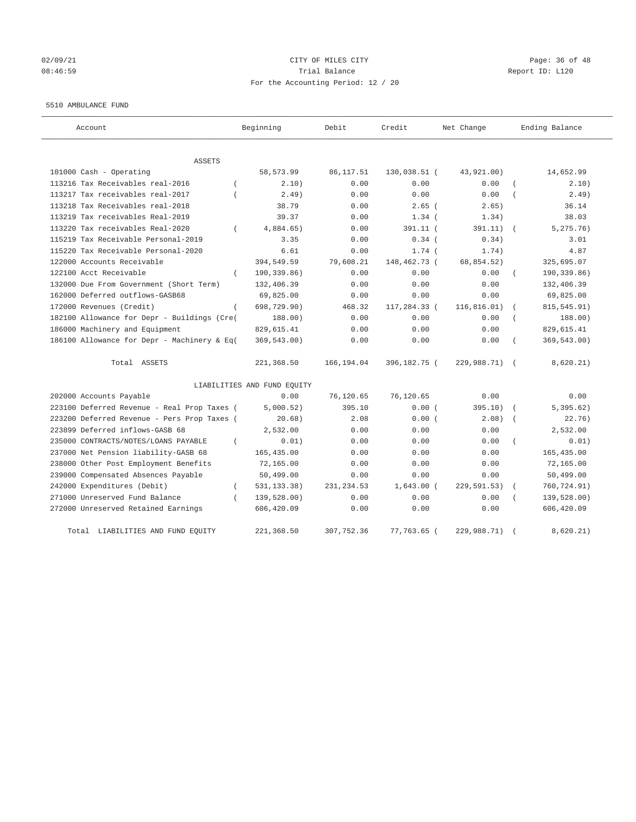## 02/09/21 Page: 36 of 48 08:46:59 Report ID: L120 For the Accounting Period: 12 / 20

#### 5510 AMBULANCE FUND

| Account                                      | Beginning                   | Debit       | Credit       | Net Change   | Ending Balance |
|----------------------------------------------|-----------------------------|-------------|--------------|--------------|----------------|
| <b>ASSETS</b>                                |                             |             |              |              |                |
| 101000 Cash - Operating                      | 58,573.99                   | 86, 117.51  | 130,038.51 ( | 43,921.00)   | 14,652.99      |
| 113216 Tax Receivables real-2016             | 2.10)                       | 0.00        | 0.00         | 0.00         | 2.10)          |
| 113217 Tax receivables real-2017             | 2.49)                       | 0.00        | 0.00         | 0.00         | 2.49)          |
| 113218 Tax Receivables real-2018             | 38.79                       | 0.00        | $2.65$ (     | 2.65)        | 36.14          |
| 113219 Tax receivables Real-2019             | 39.37                       | 0.00        | $1.34$ (     | 1.34)        | 38.03          |
| 113220 Tax receivables Real-2020<br>$\left($ | 4,884.65)                   | 0.00        | 391.11 (     | 391.11)      | 5, 275.76)     |
| 115219 Tax Receivable Personal-2019          | 3.35                        | 0.00        | $0.34$ (     | 0.34)        | 3.01           |
| 115220 Tax Receivable Personal-2020          | 6.61                        | 0.00        | $1.74$ (     | 1.74)        | 4.87           |
| 122000 Accounts Receivable                   | 394,549.59                  | 79,608.21   | 148,462.73 ( | 68,854.52)   | 325,695.07     |
| 122100 Acct Receivable                       | 190,339.86)                 | 0.00        | 0.00         | 0.00         | 190,339.86)    |
| 132000 Due From Government (Short Term)      | 132,406.39                  | 0.00        | 0.00         | 0.00         | 132,406.39     |
| 162000 Deferred outflows-GASB68              | 69,825.00                   | 0.00        | 0.00         | 0.00         | 69,825.00      |
| 172000 Revenues (Credit)                     | 698,729.90)                 | 468.32      | 117,284.33 ( | 116, 816.01) | 815, 545. 91)  |
| 182100 Allowance for Depr - Buildings (Cre(  | 188.00)                     | 0.00        | 0.00         | 0.00         | 188.00)        |
| 186000 Machinery and Equipment               | 829,615.41                  | 0.00        | 0.00         | 0.00         | 829,615.41     |
| 186100 Allowance for Depr - Machinery & Eq(  | 369, 543.00)                | 0.00        | 0.00         | 0.00         | 369,543.00)    |
| Total ASSETS                                 | 221,368.50                  | 166,194.04  | 396,182.75 ( | 229,988.71)  | 8,620.21)      |
|                                              | LIABILITIES AND FUND EQUITY |             |              |              |                |
| 202000 Accounts Payable                      | 0.00                        | 76,120.65   | 76,120.65    | 0.00         | 0.00           |
| 223100 Deferred Revenue - Real Prop Taxes (  | 5,000.52)                   | 395.10      | 0.00(        | 395.10)      | 5,395.62)      |
| 223200 Deferred Revenue - Pers Prop Taxes (  | 20.68)                      | 2.08        | 0.00(        | 2.08)        | 22.76)         |
| 223899 Deferred inflows-GASB 68              | 2,532.00                    | 0.00        | 0.00         | 0.00         | 2,532.00       |
| 235000 CONTRACTS/NOTES/LOANS PAYABLE         | 0.01)                       | 0.00        | 0.00         | 0.00         | 0.01)          |
| 237000 Net Pension liability-GASB 68         | 165,435.00                  | 0.00        | 0.00         | 0.00         | 165,435.00     |
| 238000 Other Post Employment Benefits        | 72,165.00                   | 0.00        | 0.00         | 0.00         | 72,165.00      |
| 239000 Compensated Absences Payable          | 50,499.00                   | 0.00        | 0.00         | 0.00         | 50,499.00      |
| 242000 Expenditures (Debit)<br>$\left($      | 531, 133.38)                | 231, 234.53 | $1,643.00$ ( | 229, 591.53) | 760, 724.91)   |
| 271000 Unreserved Fund Balance<br>$\left($   | 139,528.00)                 | 0.00        | 0.00         | 0.00         | 139,528.00)    |
| 272000 Unreserved Retained Earnings          | 606,420.09                  | 0.00        | 0.00         | 0.00         | 606,420.09     |
| Total LIABILITIES AND FUND EQUITY            | 221,368.50                  | 307,752.36  | 77,763.65 (  | 229,988.71)  | 8,620.21)      |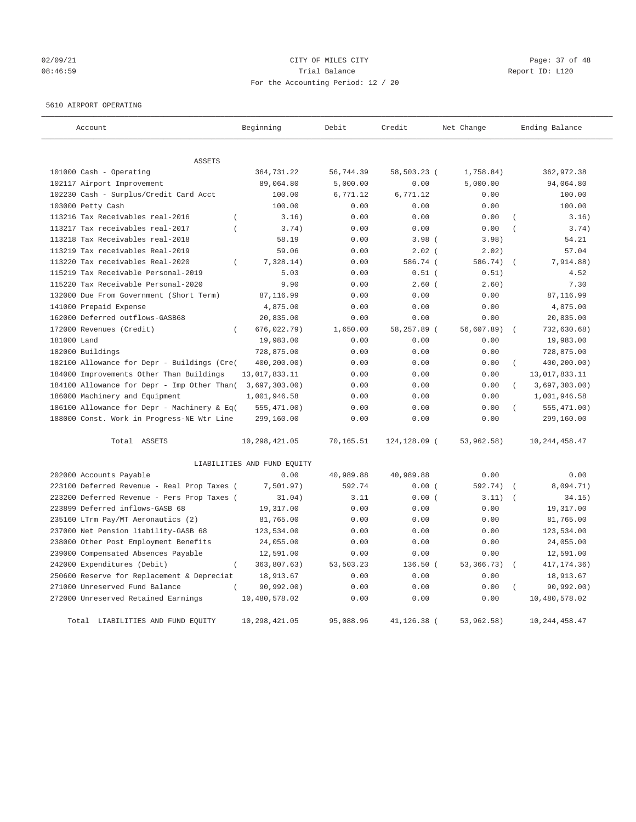## 02/09/21 Page: 37 of 48 08:46:59 **Trial Balance Constanting Trial Balance Report ID:** L120 For the Accounting Period: 12 / 20

#### 5610 AIRPORT OPERATING

| Account                                              | Beginning                   | Debit     | Credit        | Net Change   | Ending Balance                  |
|------------------------------------------------------|-----------------------------|-----------|---------------|--------------|---------------------------------|
|                                                      |                             |           |               |              |                                 |
| <b>ASSETS</b>                                        |                             |           |               |              |                                 |
| 101000 Cash - Operating                              | 364,731.22                  | 56,744.39 | 58,503.23 (   | 1,758.84)    | 362,972.38                      |
| 102117 Airport Improvement                           | 89,064.80                   | 5,000.00  | 0.00          | 5,000.00     | 94,064.80                       |
| 102230 Cash - Surplus/Credit Card Acct               | 100.00                      | 6,771.12  | 6,771.12      | 0.00         | 100.00                          |
| 103000 Petty Cash                                    | 100.00                      | 0.00      | 0.00          | 0.00         | 100.00                          |
| 113216 Tax Receivables real-2016<br>$\overline{ }$   | 3.16)                       | 0.00      | 0.00          | 0.00         | 3.16)                           |
| 113217 Tax receivables real-2017<br>$\overline{(\ }$ | 3.74)                       | 0.00      | 0.00          | 0.00         | $\overline{(\ }$<br>3.74)       |
| 113218 Tax Receivables real-2018                     | 58.19                       | 0.00      | $3.98$ (      | 3.98)        | 54.21                           |
| 113219 Tax receivables Real-2019                     | 59.06                       | 0.00      | $2.02$ (      | 2.02)        | 57.04                           |
| 113220 Tax receivables Real-2020<br>$\left($         | 7,328.14)                   | 0.00      | 586.74 (      | 586.74)      | 7,914.88)                       |
| 115219 Tax Receivable Personal-2019                  | 5.03                        | 0.00      | $0.51$ (      | 0.51)        | 4.52                            |
| 115220 Tax Receivable Personal-2020                  | 9.90                        | 0.00      | $2.60$ (      | 2.60)        | 7.30                            |
| 132000 Due From Government (Short Term)              | 87,116.99                   | 0.00      | 0.00          | 0.00         | 87,116.99                       |
| 141000 Prepaid Expense                               | 4,875.00                    | 0.00      | 0.00          | 0.00         | 4,875.00                        |
| 162000 Deferred outflows-GASB68                      | 20,835.00                   | 0.00      | 0.00          | 0.00         | 20,835.00                       |
| 172000 Revenues (Credit)                             | 676,022.79)                 | 1,650.00  | 58,257.89 (   | 56,607.89)   | 732,630.68)                     |
| 181000 Land                                          | 19,983.00                   | 0.00      | 0.00          | 0.00         | 19,983.00                       |
| 182000 Buildings                                     | 728,875.00                  | 0.00      | 0.00          | 0.00         | 728,875.00                      |
| 182100 Allowance for Depr - Buildings (Cre(          | 400,200.00)                 | 0.00      | 0.00          | 0.00         | 400,200.00)<br>$\overline{(\ }$ |
| 184000 Improvements Other Than Buildings             | 13,017,833.11               | 0.00      | 0.00          | 0.00         | 13,017,833.11                   |
| 184100 Allowance for Depr - Imp Other Than(          | 3,697,303.00)               | 0.00      | 0.00          | 0.00         | $\left($<br>3,697,303.00)       |
| 186000 Machinery and Equipment                       | 1,001,946.58                | 0.00      | 0.00          | 0.00         | 1,001,946.58                    |
| 186100 Allowance for Depr - Machinery & Eq(          | 555, 471.00)                | 0.00      | 0.00          | 0.00         | 555, 471.00)                    |
| 188000 Const. Work in Progress-NE Wtr Line           | 299,160.00                  | 0.00      | 0.00          | 0.00         | 299,160.00                      |
| Total ASSETS                                         | 10,298,421.05               | 70,165.51 | 124,128.09 (  | 53,962.58)   | 10, 244, 458. 47                |
|                                                      | LIABILITIES AND FUND EQUITY |           |               |              |                                 |
| 202000 Accounts Payable                              | 0.00                        | 40,989.88 | 40,989.88     | 0.00         | 0.00                            |
| 223100 Deferred Revenue - Real Prop Taxes (          | 7,501.97)                   | 592.74    | 0.00(         | 592.74)      | 8,094.71)                       |
| 223200 Deferred Revenue - Pers Prop Taxes (          | 31.04)                      | 3.11      | 0.00(         | 3.11)        | 34.15)                          |
| 223899 Deferred inflows-GASB 68                      | 19,317.00                   | 0.00      | 0.00          | 0.00         | 19,317.00                       |
| 235160 LTrm Pay/MT Aeronautics (2)                   | 81,765.00                   | 0.00      | 0.00          | 0.00         | 81,765.00                       |
| 237000 Net Pension liability-GASB 68                 | 123,534.00                  | 0.00      | 0.00          | 0.00         | 123,534.00                      |
| 238000 Other Post Employment Benefits                | 24,055.00                   | 0.00      | 0.00          | 0.00         | 24,055.00                       |
| 239000 Compensated Absences Payable                  | 12,591.00                   | 0.00      | 0.00          | 0.00         | 12,591.00                       |
| 242000 Expenditures (Debit)<br>$\left($              | 363,807.63)                 | 53,503.23 | $136.50$ (    | 53, 366. 73) | 417, 174. 36)<br>$\left($       |
| 250600 Reserve for Replacement & Depreciat           | 18,913.67                   | 0.00      | 0.00          | 0.00         | 18,913.67                       |
| 271000 Unreserved Fund Balance                       | 90, 992, 00)                | 0.00      | 0.00          | 0.00         | 90,992.00)                      |
| 272000 Unreserved Retained Earnings                  | 10,480,578.02               | 0.00      | 0.00          | 0.00         | 10,480,578.02                   |
| Total LIABILITIES AND FUND EQUITY                    | 10,298,421.05               | 95,088.96 | 41, 126, 38 ( | 53, 962, 58) | 10, 244, 458, 47                |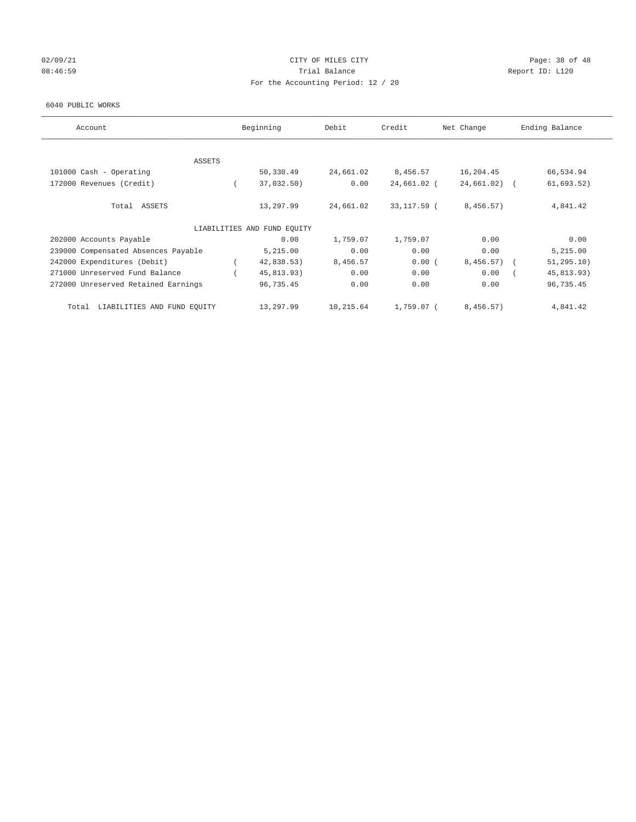## 02/09/21 Page: 38 of 48 08:46:59 Report ID: L120 For the Accounting Period: 12 / 20

#### 6040 PUBLIC WORKS

| Account                              | Beginning                   | Debit     | Credit       | Net Change   | Ending Balance |
|--------------------------------------|-----------------------------|-----------|--------------|--------------|----------------|
|                                      |                             |           |              |              |                |
| <b>ASSETS</b>                        |                             |           |              |              |                |
| 101000 Cash - Operating              | 50,330.49                   | 24,661.02 | 8,456.57     | 16,204.45    | 66,534.94      |
| 172000 Revenues (Credit)             | 37,032.50)                  | 0.00      | 24,661.02 (  | 24,661.02)   | 61,693.52)     |
| Total ASSETS                         | 13,297.99                   | 24,661.02 | 33,117.59 (  | 8,456.57)    | 4,841.42       |
|                                      | LIABILITIES AND FUND EQUITY |           |              |              |                |
| 202000 Accounts Payable              | 0.00                        | 1,759.07  | 1,759.07     | 0.00         | 0.00           |
| 239000 Compensated Absences Payable  | 5,215.00                    | 0.00      | 0.00         | 0.00         | 5,215.00       |
| 242000 Expenditures (Debit)          | 42,838.53)                  | 8,456.57  | 0.00(        | $8,456.57$ ( | 51, 295.10)    |
| 271000 Unreserved Fund Balance       | 45,813.93)                  | 0.00      | 0.00         | 0.00         | 45,813.93)     |
| 272000 Unreserved Retained Earnings  | 96,735.45                   | 0.00      | 0.00         | 0.00         | 96,735.45      |
| LIABILITIES AND FUND EQUITY<br>Total | 13,297.99                   | 10,215.64 | $1.759.07$ ( | 8,456.57)    | 4,841.42       |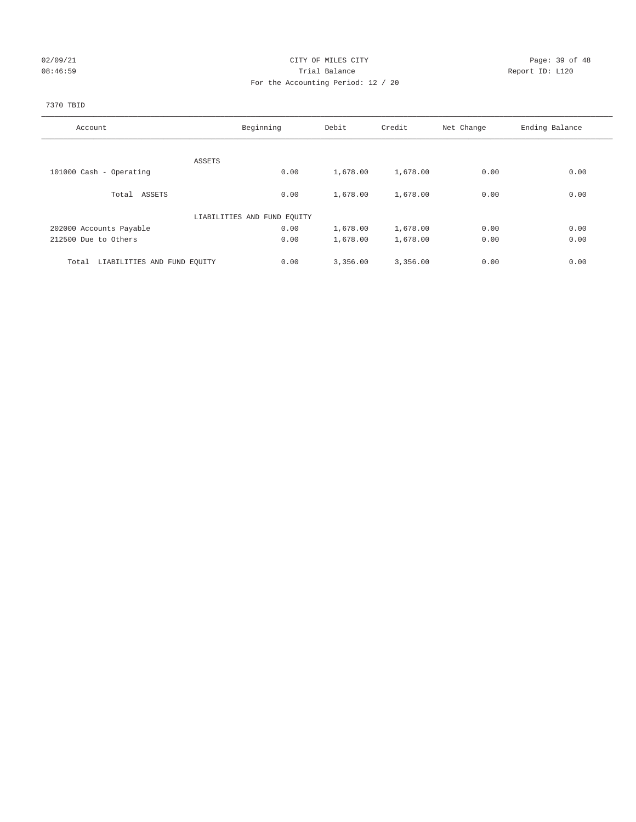## 02/09/21 Page: 39 of 48 08:46:59 Report ID: L120 For the Accounting Period: 12 / 20

## 7370 TBID

| Account                              | Beginning                   | Debit    | Credit   | Net Change | Ending Balance |
|--------------------------------------|-----------------------------|----------|----------|------------|----------------|
|                                      |                             |          |          |            |                |
|                                      | ASSETS                      |          |          |            |                |
| 101000 Cash - Operating              | 0.00                        | 1,678.00 | 1,678.00 | 0.00       | 0.00           |
|                                      |                             |          |          |            |                |
| Total ASSETS                         | 0.00                        | 1,678.00 | 1,678.00 | 0.00       | 0.00           |
|                                      | LIABILITIES AND FUND EQUITY |          |          |            |                |
| 202000 Accounts Payable              | 0.00                        | 1,678.00 | 1,678.00 | 0.00       | 0.00           |
| 212500 Due to Others                 | 0.00                        | 1,678.00 | 1,678.00 | 0.00       | 0.00           |
|                                      |                             |          |          |            |                |
| LIABILITIES AND FUND EQUITY<br>Total | 0.00                        | 3,356.00 | 3,356.00 | 0.00       | 0.00           |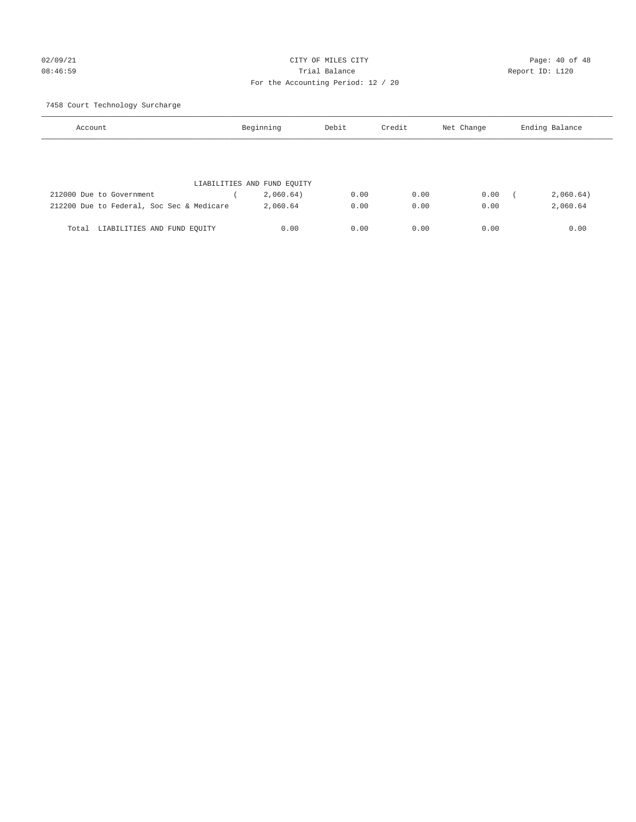# 02/09/21 CITY OF MILES CITY CHECK CONTROL Page: 40 of 48 08:46:59 Report ID: L120 For the Accounting Period: 12 / 20

7458 Court Technology Surcharge

| Account                                   | Beginning                   | Debit | Credit | Net Change | Ending Balance |  |
|-------------------------------------------|-----------------------------|-------|--------|------------|----------------|--|
|                                           |                             |       |        |            |                |  |
|                                           |                             |       |        |            |                |  |
|                                           | LIABILITIES AND FUND EQUITY |       |        |            |                |  |
| 212000 Due to Government                  | 2,060.64)                   | 0.00  | 0.00   | 0.00       | 2,060.64)      |  |
| 212200 Due to Federal, Soc Sec & Medicare | 2,060.64                    | 0.00  | 0.00   | 0.00       | 2,060.64       |  |
|                                           |                             |       |        |            |                |  |
| LIABILITIES AND FUND EQUITY<br>Total      | 0.00                        | 0.00  | 0.00   | 0.00       | 0.00           |  |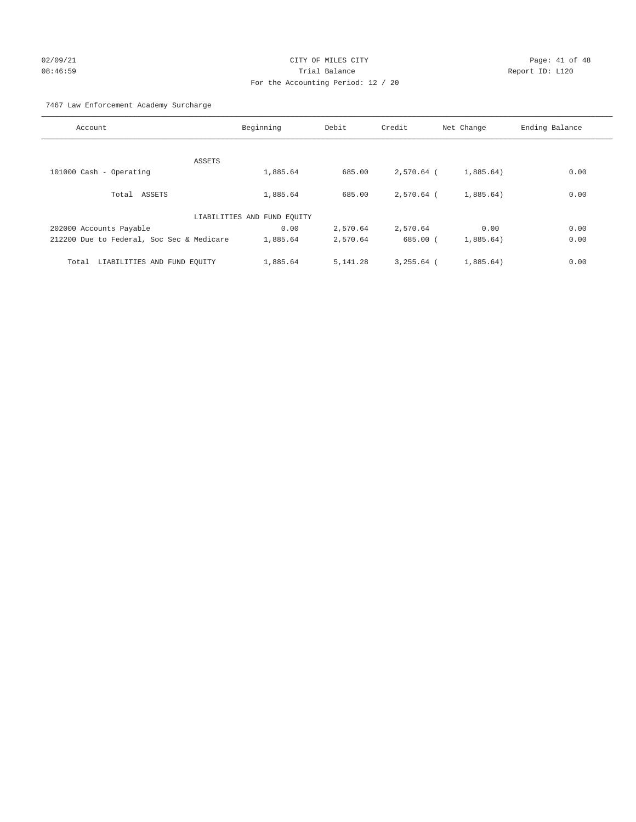# 02/09/21 CITY OF MILES CITY CHECK CONTROL Page: 41 of 48 08:46:59 Trial Balance Report ID: L120 For the Accounting Period: 12 / 20

7467 Law Enforcement Academy Surcharge

| Account                                   | Beginning                   | Debit      | Credit       | Net Change | Ending Balance |
|-------------------------------------------|-----------------------------|------------|--------------|------------|----------------|
|                                           |                             |            |              |            |                |
| ASSETS                                    |                             |            |              |            |                |
| 101000 Cash - Operating                   | 1,885.64                    | 685.00     | 2,570.64 (   | 1,885.64)  | 0.00           |
| Total ASSETS                              | 1,885.64                    | 685.00     | $2.570.64$ ( | 1,885.64)  | 0.00           |
|                                           | LIABILITIES AND FUND EQUITY |            |              |            |                |
| 202000 Accounts Payable                   | 0.00                        | 2,570.64   | 2,570.64     | 0.00       | 0.00           |
| 212200 Due to Federal, Soc Sec & Medicare | 1,885.64                    | 2,570.64   | 685.00(      | 1,885.64)  | 0.00           |
| LIABILITIES AND FUND EQUITY<br>Total      | 1,885.64                    | 5, 141, 28 | $3.255.64$ ( | 1,885.64)  | 0.00           |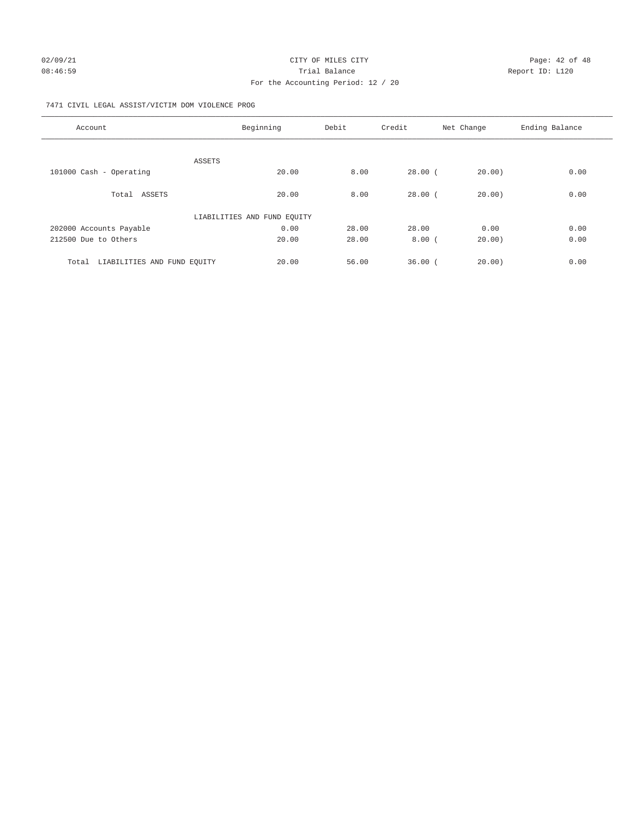# 02/09/21 CITY OF MILES CITY CHECK CITY CHECK CONTROL Page: 42 of 48 08:46:59 Report ID: L120 For the Accounting Period: 12 / 20

## 7471 CIVIL LEGAL ASSIST/VICTIM DOM VIOLENCE PROG

| Account                              | Beginning                   | Debit | Credit    | Net Change | Ending Balance |
|--------------------------------------|-----------------------------|-------|-----------|------------|----------------|
|                                      |                             |       |           |            |                |
|                                      | ASSETS                      |       |           |            |                |
| 101000 Cash - Operating              | 20.00                       | 8.00  | $28.00$ ( | 20.00)     | 0.00           |
| Total ASSETS                         | 20.00                       | 8.00  | $28.00$ ( | 20.00)     | 0.00           |
|                                      | LIABILITIES AND FUND EQUITY |       |           |            |                |
| 202000 Accounts Payable              | 0.00                        | 28.00 | 28.00     | 0.00       | 0.00           |
| 212500 Due to Others                 | 20.00                       | 28.00 | 8.00(     | 20.00)     | 0.00           |
| LIABILITIES AND FUND EQUITY<br>Total | 20.00                       | 56.00 | 36.00(    | 20.00      | 0.00           |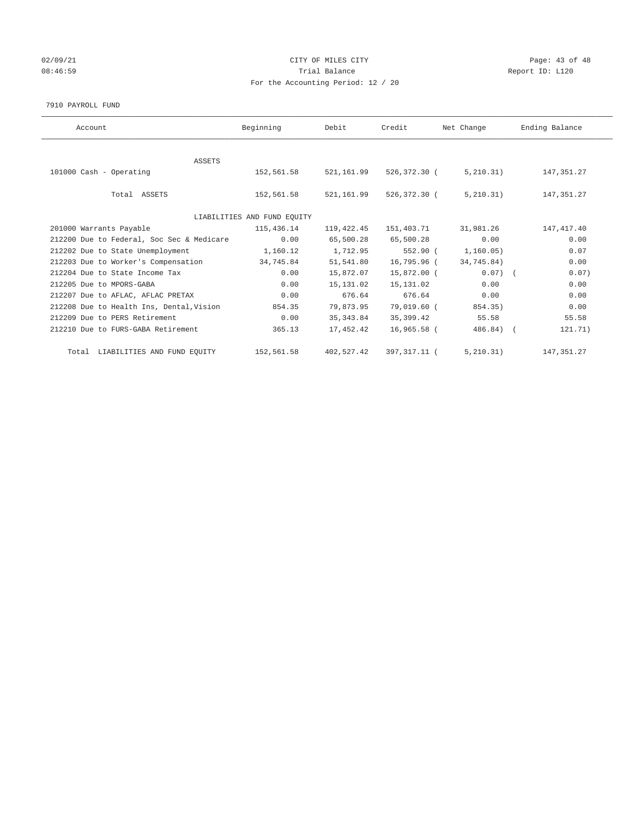## 02/09/21 CITY OF MILES CITY CHECK CITY CHECK CONTROL Page: 43 of 48 08:46:59 Report ID: L120 For the Accounting Period: 12 / 20

#### 7910 PAYROLL FUND

| Account                                   | Beginning                   | Debit       | Credit       | Net Change   | Ending Balance |
|-------------------------------------------|-----------------------------|-------------|--------------|--------------|----------------|
|                                           |                             |             |              |              |                |
| <b>ASSETS</b>                             |                             |             |              |              |                |
| 101000 Cash - Operating                   | 152,561.58                  | 521, 161.99 | 526,372.30 ( | 5, 210.31)   | 147, 351.27    |
|                                           |                             |             |              |              |                |
| Total ASSETS                              | 152,561.58                  | 521,161.99  | 526,372.30 ( | 5,210.31)    | 147, 351.27    |
|                                           |                             |             |              |              |                |
|                                           | LIABILITIES AND FUND EQUITY |             |              |              |                |
| 201000 Warrants Payable                   | 115,436.14                  | 119,422.45  | 151,403.71   | 31,981.26    | 147, 417.40    |
| 212200 Due to Federal, Soc Sec & Medicare | 0.00                        | 65,500.28   | 65,500.28    | 0.00         | 0.00           |
| 212202 Due to State Unemployment          | 1,160.12                    | 1,712.95    | 552.90 (     | 1,160.05)    | 0.07           |
| 212203 Due to Worker's Compensation       | 34,745.84                   | 51,541.80   | 16,795.96 (  | 34,745.84)   | 0.00           |
| 212204 Due to State Income Tax            | 0.00                        | 15,872.07   | 15,872.00 (  | $0.07)$ (    | 0.07)          |
| 212205 Due to MPORS-GABA                  | 0.00                        | 15, 131.02  | 15,131.02    | 0.00         | 0.00           |
| 212207 Due to AFLAC, AFLAC PRETAX         | 0.00                        | 676.64      | 676.64       | 0.00         | 0.00           |
| 212208 Due to Health Ins, Dental, Vision  | 854.35                      | 79,873.95   | 79,019.60 (  | 854.35)      | 0.00           |
| 212209 Due to PERS Retirement             | 0.00                        | 35, 343.84  | 35,399.42    | 55.58        | 55.58          |
| 212210 Due to FURS-GABA Retirement        | 365.13                      | 17,452.42   | 16,965.58 (  | $486.84$ ) ( | 121.71)        |
|                                           |                             |             |              |              |                |
| Total LIABILITIES AND FUND EQUITY         | 152,561.58                  | 402,527.42  | 397,317.11 ( | 5, 210.31)   | 147, 351, 27   |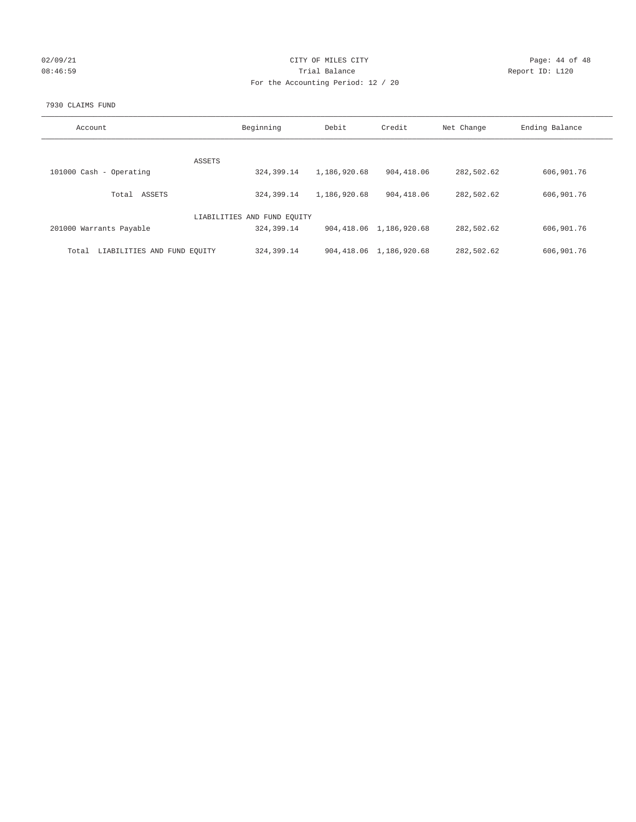## 02/09/21 CITY OF MILES CITY CHECK CONTROL Page: 44 of 48 08:46:59 Report ID: L120 For the Accounting Period: 12 / 20

#### 7930 CLAIMS FUND

| Account                              | Beginning                   | Debit        | Credit                     | Net Change | Ending Balance |
|--------------------------------------|-----------------------------|--------------|----------------------------|------------|----------------|
|                                      |                             |              |                            |            |                |
|                                      | <b>ASSETS</b>               |              |                            |            |                |
| 101000 Cash - Operating              | 324,399.14                  | 1,186,920.68 | 904,418.06                 | 282,502.62 | 606,901.76     |
| ASSETS<br>Total                      | 324, 399. 14                | 1,186,920.68 | 904, 418, 06               | 282,502.62 | 606,901.76     |
|                                      |                             |              |                            |            |                |
|                                      | LIABILITIES AND FUND EQUITY |              |                            |            |                |
| 201000 Warrants Payable              | 324,399.14                  |              | 904, 418.06 1, 186, 920.68 | 282,502.62 | 606,901.76     |
|                                      |                             |              |                            |            |                |
| LIABILITIES AND FUND EQUITY<br>Total | 324,399.14                  |              | 904, 418.06 1, 186, 920.68 | 282,502.62 | 606,901.76     |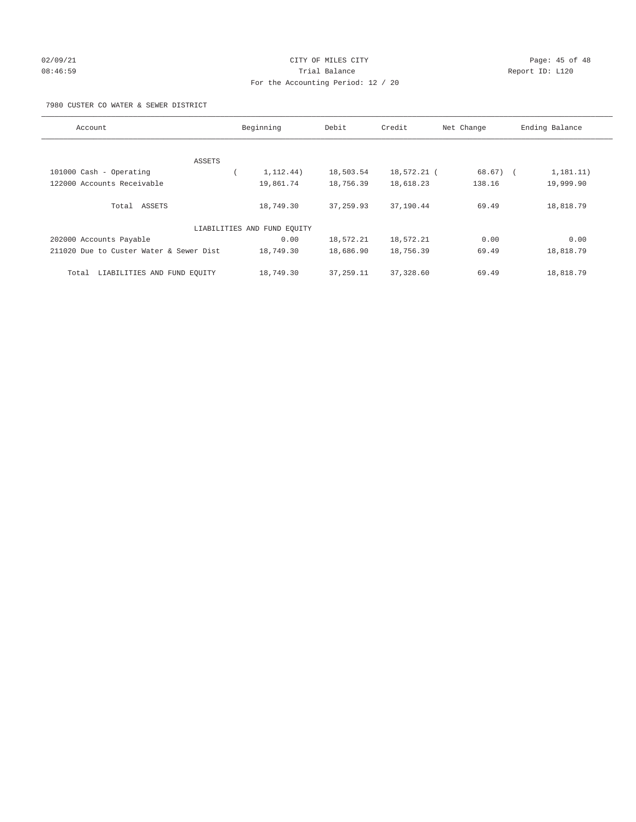## 02/09/21 Page: 45 of 48 08:46:59 Report ID: L120 For the Accounting Period: 12 / 20

## 7980 CUSTER CO WATER & SEWER DISTRICT

| Account                                 | Beginning                   | Debit      | Credit      | Net Change | Ending Balance            |
|-----------------------------------------|-----------------------------|------------|-------------|------------|---------------------------|
| ASSETS                                  |                             |            |             |            |                           |
| 101000 Cash - Operating                 | 1, 112.44)                  | 18,503.54  | 18,572.21 ( | 68.67)     | 1, 181, 11)<br>$\sqrt{2}$ |
| 122000 Accounts Receivable              | 19,861.74                   | 18,756.39  | 18,618.23   | 138.16     | 19,999.90                 |
| Total ASSETS                            | 18,749.30                   | 37, 259.93 | 37,190.44   | 69.49      | 18,818.79                 |
|                                         | LIABILITIES AND FUND EQUITY |            |             |            |                           |
| 202000 Accounts Payable                 | 0.00                        | 18,572.21  | 18,572.21   | 0.00       | 0.00                      |
| 211020 Due to Custer Water & Sewer Dist | 18,749.30                   | 18,686.90  | 18,756.39   | 69.49      | 18,818.79                 |
| LIABILITIES AND FUND EQUITY<br>Total    | 18,749.30                   | 37, 259.11 | 37,328.60   | 69.49      | 18,818.79                 |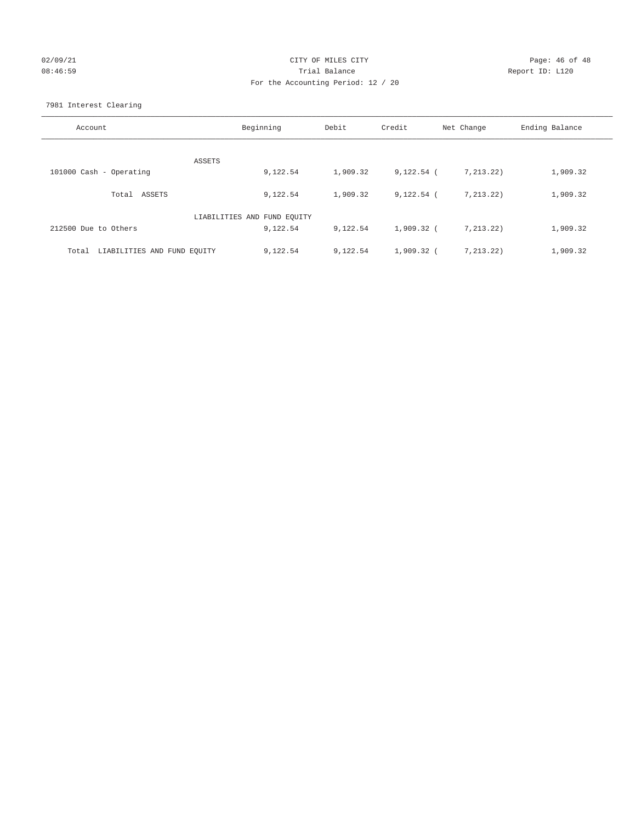## 02/09/21 CITY OF MILES CITY CHECK CONTROL Page: 46 of 48 08:46:59 Report ID: L120 For the Accounting Period: 12 / 20

7981 Interest Clearing

| Account                           | Beginning                   | Debit    | Credit       | Net Change  | Ending Balance |
|-----------------------------------|-----------------------------|----------|--------------|-------------|----------------|
|                                   | ASSETS                      |          |              |             |                |
| 101000 Cash - Operating           | 9,122.54                    | 1,909.32 | $9,122.54$ ( | 7, 213, 22) | 1,909.32       |
| Total ASSETS                      | 9,122.54                    | 1,909.32 | $9,122.54$ ( | 7, 213.22)  | 1,909.32       |
|                                   | LIABILITIES AND FUND EQUITY |          |              |             |                |
| 212500 Due to Others              | 9,122.54                    | 9,122.54 | 1,909.32 (   | 7, 213, 22) | 1,909.32       |
| Total LIABILITIES AND FUND EQUITY | 9,122.54                    | 9,122.54 | $1,909.32$ ( | 7, 213.22)  | 1,909.32       |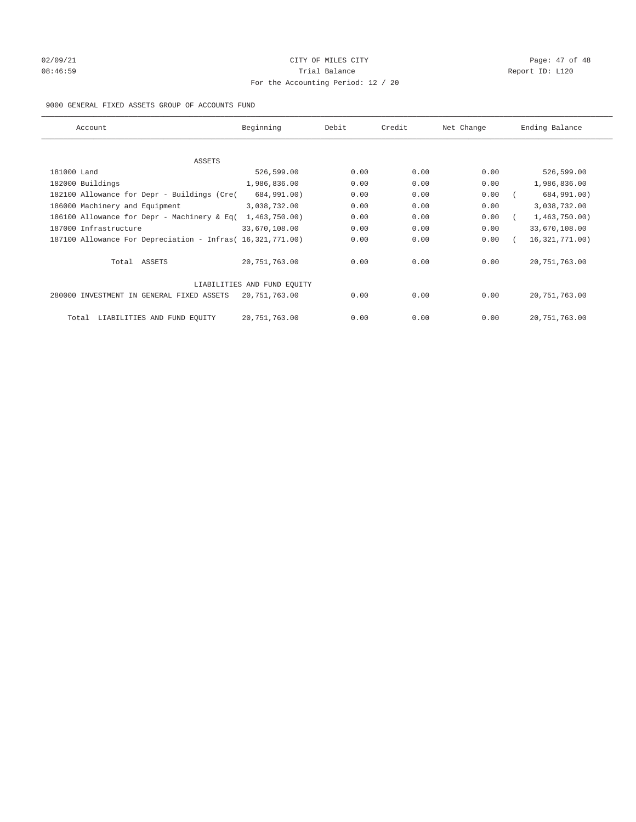## $O2/09/21$  Page: 47 of 48 08:46:59 **Trial Balance Constanting Trial Balance Report ID:** L120 For the Accounting Period: 12 / 20

## 9000 GENERAL FIXED ASSETS GROUP OF ACCOUNTS FUND

| Account                                                    | Beginning                   | Debit | Credit | Net Change | Ending Balance   |
|------------------------------------------------------------|-----------------------------|-------|--------|------------|------------------|
|                                                            |                             |       |        |            |                  |
| ASSETS                                                     |                             |       |        |            |                  |
| 181000 Land                                                | 526,599.00                  | 0.00  | 0.00   | 0.00       | 526,599.00       |
| 182000 Buildings                                           | 1,986,836.00                | 0.00  | 0.00   | 0.00       | 1,986,836.00     |
| 182100 Allowance for Depr - Buildings (Cre(                | 684,991.00)                 | 0.00  | 0.00   | 0.00       | 684,991.00)      |
| 186000 Machinery and Equipment                             | 3,038,732.00                | 0.00  | 0.00   | 0.00       | 3,038,732.00     |
| 186100 Allowance for Depr - Machinery & Eq(                | 1,463,750.00)               | 0.00  | 0.00   | 0.00       | 1,463,750.00     |
| 187000 Infrastructure                                      | 33,670,108.00               | 0.00  | 0.00   | 0.00       | 33,670,108.00    |
| 187100 Allowance For Depreciation - Infras( 16,321,771.00) |                             | 0.00  | 0.00   | 0.00       | 16, 321, 771.00) |
| Total ASSETS                                               | 20,751,763.00               | 0.00  | 0.00   | 0.00       | 20, 751, 763.00  |
|                                                            | LIABILITIES AND FUND EQUITY |       |        |            |                  |
| 280000 INVESTMENT IN GENERAL FIXED ASSETS                  | 20,751,763.00               | 0.00  | 0.00   | 0.00       | 20,751,763.00    |
| LIABILITIES AND FUND EQUITY<br>Total                       | 20, 751, 763.00             | 0.00  | 0.00   | 0.00       | 20, 751, 763.00  |